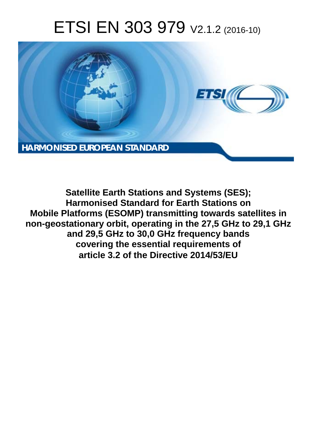# ETSI EN 303 979 V2.1.2 (2016-10)



**Satellite Earth Stations and Systems (SES); Harmonised Standard for Earth Stations on Mobile Platforms (ESOMP) transmitting towards satellites in non-geostationary orbit, operating in the 27,5 GHz to 29,1 GHz and 29,5 GHz to 30,0 GHz frequency bands covering the essential requirements of article 3.2 of the Directive 2014/53/EU**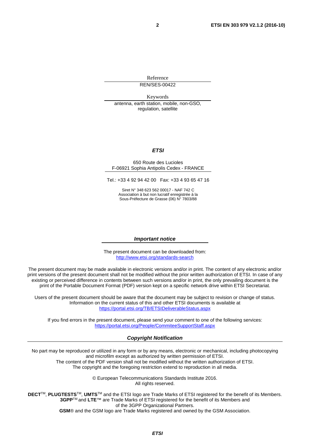Reference REN/SES-00422

Keywords

antenna, earth station, mobile, non-GSO, regulation, satellite

### *ETSI*

#### 650 Route des Lucioles F-06921 Sophia Antipolis Cedex - FRANCE

Tel.: +33 4 92 94 42 00 Fax: +33 4 93 65 47 16

Siret N° 348 623 562 00017 - NAF 742 C Association à but non lucratif enregistrée à la Sous-Préfecture de Grasse (06) N° 7803/88

#### *Important notice*

The present document can be downloaded from: <http://www.etsi.org/standards-search>

The present document may be made available in electronic versions and/or in print. The content of any electronic and/or print versions of the present document shall not be modified without the prior written authorization of ETSI. In case of any existing or perceived difference in contents between such versions and/or in print, the only prevailing document is the print of the Portable Document Format (PDF) version kept on a specific network drive within ETSI Secretariat.

Users of the present document should be aware that the document may be subject to revision or change of status. Information on the current status of this and other ETSI documents is available at <https://portal.etsi.org/TB/ETSIDeliverableStatus.aspx>

If you find errors in the present document, please send your comment to one of the following services: <https://portal.etsi.org/People/CommiteeSupportStaff.aspx>

#### *Copyright Notification*

No part may be reproduced or utilized in any form or by any means, electronic or mechanical, including photocopying and microfilm except as authorized by written permission of ETSI.

The content of the PDF version shall not be modified without the written authorization of ETSI. The copyright and the foregoing restriction extend to reproduction in all media.

> © European Telecommunications Standards Institute 2016. All rights reserved.

**DECT**TM, **PLUGTESTS**TM, **UMTS**TM and the ETSI logo are Trade Marks of ETSI registered for the benefit of its Members. **3GPP**TM and **LTE**™ are Trade Marks of ETSI registered for the benefit of its Members and of the 3GPP Organizational Partners.

**GSM**® and the GSM logo are Trade Marks registered and owned by the GSM Association.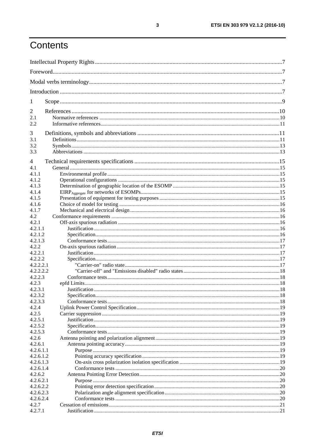# Contents

| 1                |  |
|------------------|--|
| 2                |  |
| 2.1              |  |
| 2.2              |  |
| 3                |  |
| 3.1              |  |
| 3.2              |  |
| 3.3              |  |
|                  |  |
| 4                |  |
| 4.1              |  |
| 4.1.1            |  |
| 4.1.2            |  |
| 4.1.3<br>4.1.4   |  |
| 4.1.5            |  |
| 4.1.6            |  |
| 4.1.7            |  |
| 4.2              |  |
| 4.2.1            |  |
| 4.2.1.1          |  |
| 4.2.1.2          |  |
| 4.2.1.3          |  |
| 4.2.2            |  |
| 4.2.2.1          |  |
| 4.2.2.2          |  |
| 4.2.2.2.1        |  |
| 4.2.2.2.2        |  |
| 4.2.2.3          |  |
| 4.2.3            |  |
| 4.2.3.1          |  |
| 4.2.3.2          |  |
| 4.2.3.3<br>4.2.4 |  |
| 4.2.5            |  |
| 4.2.5.1          |  |
| 4.2.5.2          |  |
| 4.2.5.3          |  |
| 4.2.6            |  |
| 4.2.6.1          |  |
| 4.2.6.1.1        |  |
| 4.2.6.1.2        |  |
| 4.2.6.1.3        |  |
| 4.2.6.1.4        |  |
| 4.2.6.2          |  |
| 4.2.6.2.1        |  |
| 4.2.6.2.2        |  |
| 4.2.6.2.3        |  |
| 4.2.6.2.4        |  |
| 4.2.7            |  |
| 4.2.7.1          |  |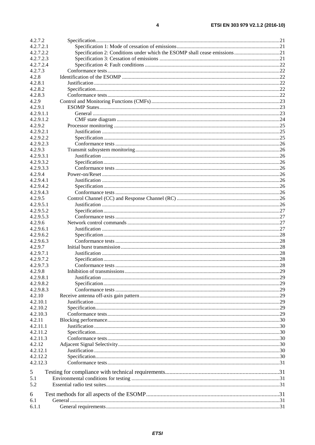| 4.2.7.2   |                                                                            |     |
|-----------|----------------------------------------------------------------------------|-----|
| 4.2.7.2.1 |                                                                            |     |
| 4.2.7.2.2 | Specification 2: Conditions under which the ESOMP shall cease emissions 21 |     |
| 4.2.7.2.3 |                                                                            |     |
| 4.2.7.2.4 |                                                                            |     |
| 4.2.7.3   |                                                                            |     |
| 4.2.8     |                                                                            |     |
| 4.2.8.1   |                                                                            |     |
| 4.2.8.2   |                                                                            |     |
| 4.2.8.3   |                                                                            |     |
| 4.2.9     |                                                                            |     |
| 4.2.9.1   |                                                                            |     |
|           |                                                                            |     |
| 4.2.9.1.1 |                                                                            |     |
| 4.2.9.1.2 |                                                                            |     |
| 4.2.9.2   |                                                                            |     |
| 4.2.9.2.1 |                                                                            |     |
| 4.2.9.2.2 |                                                                            |     |
| 4.2.9.2.3 |                                                                            |     |
| 4.2.9.3   |                                                                            |     |
| 4.2.9.3.1 |                                                                            |     |
| 4.2.9.3.2 |                                                                            |     |
| 4.2.9.3.3 |                                                                            |     |
| 4.2.9.4   |                                                                            |     |
| 4.2.9.4.1 |                                                                            |     |
| 4.2.9.4.2 |                                                                            |     |
|           |                                                                            |     |
| 4.2.9.4.3 |                                                                            |     |
| 4.2.9.5   |                                                                            |     |
| 4.2.9.5.1 |                                                                            |     |
| 4.2.9.5.2 |                                                                            |     |
| 4.2.9.5.3 |                                                                            |     |
| 4.2.9.6   |                                                                            |     |
| 4.2.9.6.1 |                                                                            |     |
| 4.2.9.6.2 |                                                                            |     |
| 4.2.9.6.3 |                                                                            |     |
| 4.2.9.7   |                                                                            |     |
| 4.2.9.7.1 |                                                                            |     |
| 4.2.9.7.2 |                                                                            |     |
| 4.2.9.7.3 |                                                                            |     |
| 4.2.9.8   | Inhibition of transmissions                                                | .29 |
| 4.2.9.8.1 |                                                                            |     |
|           |                                                                            |     |
| 4.2.9.8.2 |                                                                            |     |
| 4.2.9.8.3 |                                                                            |     |
| 4.2.10    |                                                                            |     |
| 4.2.10.1  |                                                                            |     |
| 4.2.10.2  |                                                                            |     |
| 4.2.10.3  |                                                                            |     |
| 4.2.11    |                                                                            |     |
| 4.2.11.1  |                                                                            |     |
| 4.2.11.2  |                                                                            |     |
| 4.2.11.3  |                                                                            |     |
| 4.2.12    |                                                                            |     |
| 4.2.12.1  |                                                                            |     |
| 4.2.12.2  |                                                                            |     |
| 4.2.12.3  |                                                                            |     |
|           |                                                                            |     |
| 5         |                                                                            |     |
| 5.1       |                                                                            |     |
| 5.2       |                                                                            |     |
|           |                                                                            |     |
| 6         |                                                                            |     |
| 6.1       |                                                                            |     |
| 6.1.1     |                                                                            |     |
|           |                                                                            |     |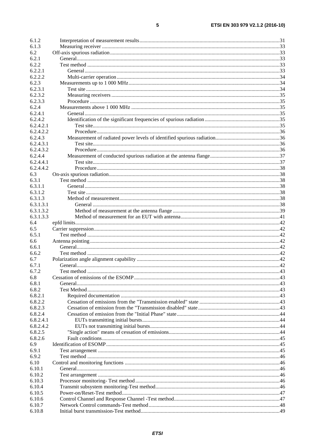| 6.1.2              |  |
|--------------------|--|
| 6.1.3              |  |
| 6.2                |  |
| 6.2.1              |  |
| 6.2.2              |  |
| 6.2.2.1            |  |
| 6.2.2.2            |  |
| 6.2.3              |  |
| 6.2.3.1            |  |
| 6.2.3.2            |  |
| 6.2.3.3            |  |
| 6.2.4              |  |
| 6.2.4.1<br>6.2.4.2 |  |
| 6.2.4.2.1          |  |
| 6.2.4.2.2          |  |
| 6.2.4.3            |  |
| 6.2.4.3.1          |  |
| 6.2.4.3.2          |  |
| 6.2.4.4            |  |
| 6.2.4.4.1          |  |
| 6.2.4.4.2          |  |
| 6.3                |  |
| 6.3.1              |  |
| 6.3.1.1            |  |
| 6.3.1.2            |  |
| 6.3.1.3            |  |
| 6.3.1.3.1          |  |
| 6.3.1.3.2          |  |
| 6.3.1.3.3          |  |
| 6.4                |  |
| 6.5                |  |
| 6.5.1              |  |
| 6.6                |  |
| 6.6.1              |  |
| 6.6.2              |  |
| 6.7                |  |
| 6.7.1              |  |
| 6.7.2              |  |
| 6.8                |  |
| 6.8.1              |  |
| 6.8.2              |  |
| 6.8.2.1            |  |
| 6.8.2.2            |  |
| 6.8.2.3            |  |
| 6.8.2.4            |  |
| 6.8.2.4.1          |  |
| 6.8.2.4.2          |  |
| 6.8.2.5            |  |
| 6.8.2.6            |  |
| 6.9                |  |
| 6.9.1              |  |
| 6.9.2              |  |
| 6.10               |  |
| 6.10.1             |  |
| 6.10.2             |  |
| 6.10.3             |  |
| 6.10.4             |  |
| 6.10.5             |  |
| 6.10.6             |  |
| 6.10.7             |  |
| 6.10.8             |  |
|                    |  |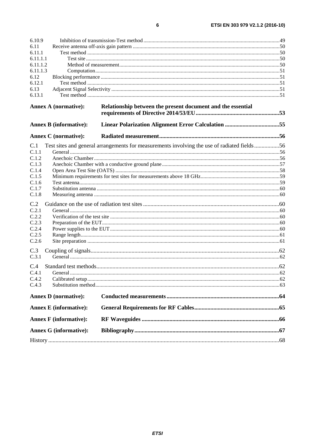| ۰. | I |
|----|---|

| 6.10.9                        |                                                                                             |  |
|-------------------------------|---------------------------------------------------------------------------------------------|--|
| 6.11                          |                                                                                             |  |
| 6.11.1                        |                                                                                             |  |
| 6.11.1.1                      |                                                                                             |  |
| 6.11.1.2                      |                                                                                             |  |
| 6.11.1.3                      |                                                                                             |  |
| 6.12                          |                                                                                             |  |
| 6.12.1                        |                                                                                             |  |
| 6.13                          |                                                                                             |  |
| 6.13.1                        |                                                                                             |  |
| <b>Annex A (normative):</b>   | Relationship between the present document and the essential                                 |  |
|                               |                                                                                             |  |
| <b>Annex B</b> (informative): |                                                                                             |  |
| <b>Annex C</b> (normative):   |                                                                                             |  |
| C.1                           | Test sites and general arrangements for measurements involving the use of radiated fields56 |  |
| C.1.1                         |                                                                                             |  |
| C.1.2                         |                                                                                             |  |
| C.1.3                         |                                                                                             |  |
| C.1.4                         |                                                                                             |  |
| C.1.5                         |                                                                                             |  |
| C.1.6                         |                                                                                             |  |
| C.1.7                         |                                                                                             |  |
| C.1.8                         |                                                                                             |  |
| C.2                           |                                                                                             |  |
| C.2.1                         |                                                                                             |  |
| C.2.2                         |                                                                                             |  |
| C.2.3                         |                                                                                             |  |
| C.2.4                         |                                                                                             |  |
| C.2.5                         |                                                                                             |  |
| C.2.6                         |                                                                                             |  |
| C.3                           |                                                                                             |  |
| C.3.1                         |                                                                                             |  |
| C.4                           |                                                                                             |  |
| C.4.1                         |                                                                                             |  |
| C.4.2                         |                                                                                             |  |
| C.4.3                         |                                                                                             |  |
|                               |                                                                                             |  |
| <b>Annex D</b> (normative):   |                                                                                             |  |
| <b>Annex E</b> (informative): |                                                                                             |  |
| <b>Annex F</b> (informative): |                                                                                             |  |
| <b>Annex G (informative):</b> |                                                                                             |  |
|                               |                                                                                             |  |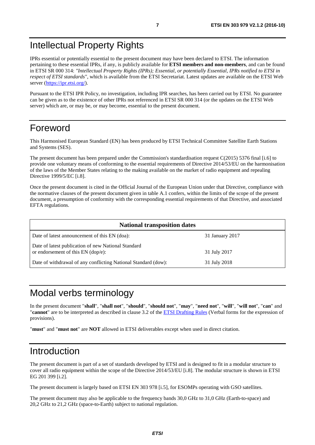# <span id="page-6-0"></span>Intellectual Property Rights

IPRs essential or potentially essential to the present document may have been declared to ETSI. The information pertaining to these essential IPRs, if any, is publicly available for **ETSI members and non-members**, and can be found in ETSI SR 000 314: *"Intellectual Property Rights (IPRs); Essential, or potentially Essential, IPRs notified to ETSI in respect of ETSI standards"*, which is available from the ETSI Secretariat. Latest updates are available on the ETSI Web server (<https://ipr.etsi.org/>).

Pursuant to the ETSI IPR Policy, no investigation, including IPR searches, has been carried out by ETSI. No guarantee can be given as to the existence of other IPRs not referenced in ETSI SR 000 314 (or the updates on the ETSI Web server) which are, or may be, or may become, essential to the present document.

# Foreword

This Harmonised European Standard (EN) has been produced by ETSI Technical Committee Satellite Earth Stations and Systems (SES).

The present document has been prepared under the Commission's standardisation request C(2015) 5376 final [\[i.6\]](#page-10-0) to provide one voluntary means of conforming to the essential requirements of Directive 2014/53/EU on the harmonisation of the laws of the Member States relating to the making available on the market of radio equipment and repealing Directive 1999/5/EC [\[i.8](#page-10-0)].

Once the present document is cited in the Official Journal of the European Union under that Directive, compliance with the normative clauses of the present document given in table A.1 confers, within the limits of the scope of the present document, a presumption of conformity with the corresponding essential requirements of that Directive, and associated EFTA regulations.

| <b>National transposition dates</b>                                                         |                 |  |
|---------------------------------------------------------------------------------------------|-----------------|--|
| Date of latest announcement of this EN (doa):                                               | 31 January 2017 |  |
| Date of latest publication of new National Standard<br>or endorsement of this $EN$ (dop/e): | 31 July 2017    |  |
| Date of withdrawal of any conflicting National Standard (dow):                              | 31 July 2018    |  |

# Modal verbs terminology

In the present document "**shall**", "**shall not**", "**should**", "**should not**", "**may**", "**need not**", "**will**", "**will not**", "**can**" and "**cannot**" are to be interpreted as described in clause 3.2 of the [ETSI Drafting Rules](https://portal.etsi.org/Services/editHelp!/Howtostart/ETSIDraftingRules.aspx) (Verbal forms for the expression of provisions).

"**must**" and "**must not**" are **NOT** allowed in ETSI deliverables except when used in direct citation.

# Introduction

The present document is part of a set of standards developed by ETSI and is designed to fit in a modular structure to cover all radio equipment within the scope of the Directive 2014/53/EU [[i.8\]](#page-10-0). The modular structure is shown in ETSI EG 201 399 [[i.2](#page-10-0)].

The present document is largely based on ETSI EN 303 978 [[i.5](#page-10-0)], for ESOMPs operating with GSO satellites.

The present document may also be applicable to the frequency bands 30,0 GHz to 31,0 GHz (Earth-to-space) and 20,2 GHz to 21,2 GHz (space-to-Earth) subject to national regulation.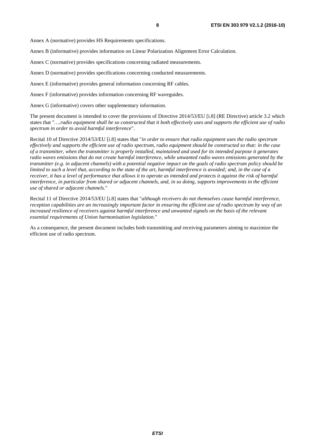Annex A (normative) provides HS Requirements specifications.

Annex B (informative) provides information on Linear Polarization Alignment Error Calculation.

Annex C (normative) provides specifications concerning radiated measurements.

Annex D (normative) provides specifications concerning conducted measurements.

Annex E (informative) provides general information concerning RF cables.

Annex F (informative) provides information concerning RF waveguides.

Annex G (informative) covers other supplementary information.

The present document is intended to cover the provisions of Directive 2014/53/EU [\[i.8](#page-10-0)] (RE Directive) article 3.2 which states that "*….radio equipment shall be so constructed that it both effectively uses and supports the efficient use of radio spectrum in order to avoid harmful interference*".

Recital 10 of Directive 2014/53/EU [\[i.8\]](#page-10-0) states that "*in order to ensure that radio equipment uses the radio spectrum effectively and supports the efficient use of radio spectrum, radio equipment should be constructed so that: in the case of a transmitter, when the transmitter is properly installed, maintained and used for its intended purpose it generates radio waves emissions that do not create harmful interference, while unwanted radio waves emissions generated by the transmitter (e.g. in adjacent channels) with a potential negative impact on the goals of radio spectrum policy should be limited to such a level that, according to the state of the art, harmful interference is avoided; and, in the case of a receiver, it has a level of performance that allows it to operate as intended and protects it against the risk of harmful interference, in particular from shared or adjacent channels, and, in so doing, supports improvements in the efficient use of shared or adjacent channels.*"

Recital 11 of Directive 2014/53/EU [\[i.8\]](#page-10-0) states that "*although receivers do not themselves cause harmful interference, reception capabilities are an increasingly important factor in ensuring the efficient use of radio spectrum by way of an increased resilience of receivers against harmful interference and unwanted signals on the basis of the relevant essential requirements of Union harmonisation legislation.*"

As a consequence, the present document includes both transmitting and receiving parameters aiming to maximize the efficient use of radio spectrum.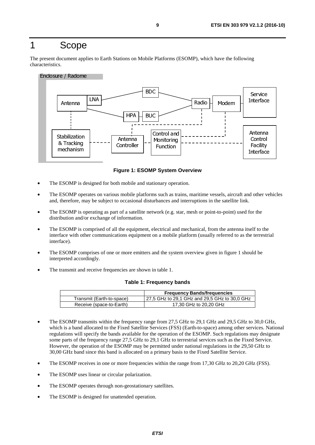# <span id="page-8-0"></span>1 Scope

The present document applies to Earth Stations on Mobile Platforms (ESOMP), which have the following characteristics.

#### Enclosure / Radome



**Figure 1: ESOMP System Overview** 

- The ESOMP is designed for both mobile and stationary operation.
- The ESOMP operates on various mobile platforms such as trains, maritime vessels, aircraft and other vehicles and, therefore, may be subject to occasional disturbances and interruptions in the satellite link.
- The ESOMP is operating as part of a satellite network (e.g. star, mesh or point-to-point) used for the distribution and/or exchange of information.
- The ESOMP is comprised of all the equipment, electrical and mechanical, from the antenna itself to the interface with other communications equipment on a mobile platform (usually referred to as the terrestrial interface).
- The ESOMP comprises of one or more emitters and the system overview given in figure 1 should be interpreted accordingly.
- The transmit and receive frequencies are shown in table 1.

#### **Table 1: Frequency bands**

|                           | <b>Frequency Bands/frequencies</b>            |
|---------------------------|-----------------------------------------------|
| Transmit (Earth-to-space) | 27,5 GHz to 29,1 GHz and 29,5 GHz to 30,0 GHz |
| Receive (space-to-Earth)  | 17.30 GHz to 20.20 GHz                        |

- The ESOMP transmits within the frequency range from 27,5 GHz to 29,1 GHz and 29,5 GHz to 30,0 GHz, which is a band allocated to the Fixed Satellite Services (FSS) (Earth-to-space) among other services. National regulations will specify the bands available for the operation of the ESOMP. Such regulations may designate some parts of the frequency range 27,5 GHz to 29,1 GHz to terrestrial services such as the Fixed Service. However, the operation of the ESOMP may be permitted under national regulations in the 29,50 GHz to 30,00 GHz band since this band is allocated on a primary basis to the Fixed Satellite Service.
- The ESOMP receives in one or more frequencies within the range from 17,30 GHz to 20,20 GHz (FSS).
- The ESOMP uses linear or circular polarization.
- The ESOMP operates through non-geostationary satellites.
- The ESOMP is designed for unattended operation.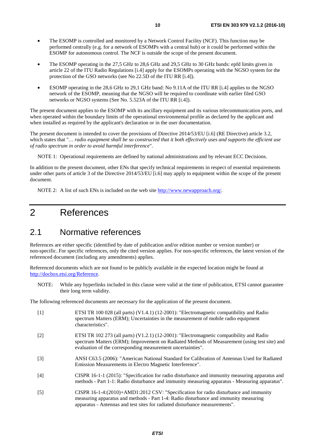- <span id="page-9-0"></span>• The ESOMP is controlled and monitored by a Network Control Facility (NCF). This function may be performed centrally (e.g. for a network of ESOMPs with a central hub) or it could be performed within the ESOMP for autonomous control. The NCF is outside the scope of the present document.
- The ESOMP operating in the 27,5 GHz to 28,6 GHz and 29,5 GHz to 30 GHz bands: epfd limits given in article 22 of the ITU Radio Regulations [\[i.4](#page-10-0)] apply for the ESOMPs operating with the NGSO system for the protection of the GSO networks (see No 22.5D of the ITU RR [\[i.4](#page-10-0)]).
- ESOMP operating in the 28,6 GHz to 29,1 GHz band: No 9.11A of the ITU RR [[i.4](#page-10-0)] applies to the NGSO network of the ESOMP, meaning that the NGSO will be required to coordinate with earlier filed GSO networks or NGSO systems (See No. 5.523A of the ITU RR [[i.4](#page-10-0)]).

The present document applies to the ESOMP with its ancillary equipment and its various telecommunication ports, and when operated within the boundary limits of the operational environmental profile as declared by the applicant and when installed as required by the applicant's declaration or in the user documentation.

The present document is intended to cover the provisions of Directive 2014/53/EU [\[i.6](#page-10-0)] (RE Directive) article 3.2, which states that "*… radio equipment shall be so constructed that it both effectively uses and supports the efficient use of radio spectrum in order to avoid harmful interference*".

NOTE 1: Operational requirements are defined by national administrations and by relevant ECC Decisions.

In addition to the present document, other ENs that specify technical requirements in respect of essential requirements under other parts of article 3 of the Directive 2014/53/EU [[i.6\]](#page-10-0) may apply to equipment within the scope of the present document.

NOTE 2: A list of such ENs is included on the web site [http://www.newapproach.org/.](http://www.newapproach.org/)

# 2 References

### 2.1 Normative references

References are either specific (identified by date of publication and/or edition number or version number) or non-specific. For specific references, only the cited version applies. For non-specific references, the latest version of the referenced document (including any amendments) applies.

Referenced documents which are not found to be publicly available in the expected location might be found at <http://docbox.etsi.org/Reference>.

NOTE: While any hyperlinks included in this clause were valid at the time of publication, ETSI cannot guarantee their long term validity.

The following referenced documents are necessary for the application of the present document.

- [1] ETSI TR 100 028 (all parts) (V1.4.1) (12-2001): "Electromagnetic compatibility and Radio spectrum Matters (ERM); Uncertainties in the measurement of mobile radio equipment characteristics".
- [2] ETSI TR 102 273 (all parts) (V1.2.1) (12-2001): "Electromagnetic compatibility and Radio spectrum Matters (ERM); Improvement on Radiated Methods of Measurement (using test site) and evaluation of the corresponding measurement uncertainties".
- [3] ANSI C63.5 (2006): "American National Standard for Calibration of Antennas Used for Radiated Emission Measurements in Electro Magnetic Interference".
- [4] CISPR 16-1-1 (2015): "Specification for radio disturbance and immunity measuring apparatus and methods - Part 1-1: Radio disturbance and immunity measuring apparatus - Measuring apparatus".
- [5] CISPR 16-1-4:(2010)+AMD1:2012 CSV: "Specification for radio disturbance and immunity measuring apparatus and methods - Part 1-4: Radio disturbance and immunity measuring apparatus - Antennas and test sites for radiated disturbance measurements".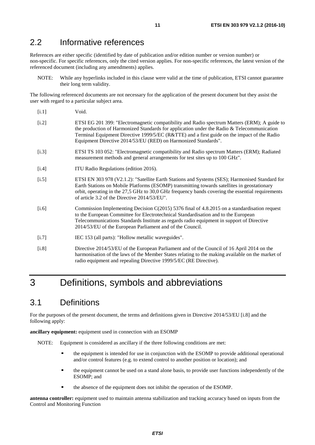# <span id="page-10-0"></span>2.2 Informative references

References are either specific (identified by date of publication and/or edition number or version number) or non-specific. For specific references, only the cited version applies. For non-specific references, the latest version of the referenced document (including any amendments) applies.

NOTE: While any hyperlinks included in this clause were valid at the time of publication, ETSI cannot guarantee their long term validity.

The following referenced documents are not necessary for the application of the present document but they assist the user with regard to a particular subject area.

- [i.1] Void.
- [i.2] ETSI EG 201 399: "Electromagnetic compatibility and Radio spectrum Matters (ERM); A guide to the production of Harmonized Standards for application under the Radio & Telecommunication Terminal Equipment Directive 1999/5/EC (R&TTE) and a first guide on the impact of the Radio Equipment Directive 2014/53/EU (RED) on Harmonized Standards".
- [i.3] ETSI TS 103 052: "Electromagnetic compatibility and Radio spectrum Matters (ERM); Radiated measurement methods and general arrangements for test sites up to 100 GHz".
- [i.4] ITU Radio Regulations (edition 2016).
- [i.5] ETSI EN 303 978 (V2.1.2): "Satellite Earth Stations and Systems (SES); Harmonised Standard for Earth Stations on Mobile Platforms (ESOMP) transmitting towards satellites in geostationary orbit, operating in the 27,5 GHz to 30,0 GHz frequency bands covering the essential requirements of article 3.2 of the Directive 2014/53/EU".
- [i.6] Commission Implementing Decision C(2015) 5376 final of 4.8.2015 on a standardisation request to the European Committee for Electrotechnical Standardisation and to the European Telecommunications Standards Institute as regards radio equipment in support of Directive 2014/53/EU of the European Parliament and of the Council.
- [i.7] IEC 153 (all parts): "Hollow metallic waveguides".
- [i.8] Directive 2014/53/EU of the European Parliament and of the Council of 16 April 2014 on the harmonisation of the laws of the Member States relating to the making available on the market of radio equipment and repealing Directive 1999/5/EC (RE Directive).

# 3 Definitions, symbols and abbreviations

# 3.1 Definitions

For the purposes of the present document, the terms and definitions given in Directive 2014/53/EU [i.8] and the following apply:

**ancillary equipment:** equipment used in connection with an ESOMP

NOTE: Equipment is considered as ancillary if the three following conditions are met:

- the equipment is intended for use in conjunction with the ESOMP to provide additional operational and/or control features (e.g. to extend control to another position or location); and
- the equipment cannot be used on a stand alone basis, to provide user functions independently of the ESOMP; and
- the absence of the equipment does not inhibit the operation of the ESOMP.

**antenna controller:** equipment used to maintain antenna stabilization and tracking accuracy based on inputs from the Control and Monitoring Function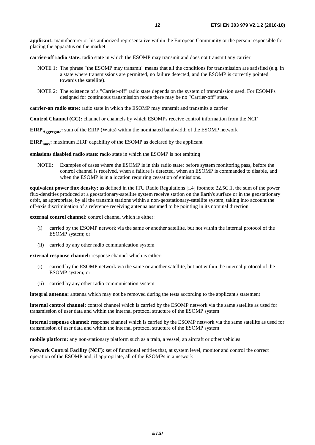**applicant:** manufacturer or his authorized representative within the European Community or the person responsible for placing the apparatus on the market

**carrier-off radio state:** radio state in which the ESOMP may transmit and does not transmit any carrier

- NOTE 1: The phrase "the ESOMP may transmit" means that all the conditions for transmission are satisfied (e.g. in a state where transmissions are permitted, no failure detected, and the ESOMP is correctly pointed towards the satellite).
- NOTE 2: The existence of a "Carrier-off" radio state depends on the system of transmission used. For ESOMPs designed for continuous transmission mode there may be no "Carrier-off" state.

**carrier-on radio state:** radio state in which the ESOMP may transmit and transmits a carrier

**Control Channel (CC):** channel or channels by which ESOMPs receive control information from the NCF

**EIRP** Aggregate: sum of the EIRP (Watts) within the nominated bandwidth of the ESOMP network

**EIRP<sub>max</sub>:** maximum EIRP capability of the ESOMP as declared by the applicant

**emissions disabled radio state:** radio state in which the ESOMP is not emitting

NOTE: Examples of cases where the ESOMP is in this radio state: before system monitoring pass, before the control channel is received, when a failure is detected, when an ESOMP is commanded to disable, and when the ESOMP is in a location requiring cessation of emissions.

**equivalent power flux density:** as defined in the ITU Radio Regulations [[i.4\]](#page-10-0) footnote 22.5C.1, the sum of the power flux-densities produced at a geostationary-satellite system receive station on the Earth's surface or in the geostationary orbit, as appropriate, by all the transmit stations within a non-geostationary-satellite system, taking into account the off-axis discrimination of a reference receiving antenna assumed to be pointing in its nominal direction

**external control channel:** control channel which is either:

- (i) carried by the ESOMP network via the same or another satellite, but not within the internal protocol of the ESOMP system; or
- (ii) carried by any other radio communication system

**external response channel:** response channel which is either:

- (i) carried by the ESOMP network via the same or another satellite, but not within the internal protocol of the ESOMP system; or
- (ii) carried by any other radio communication system

**integral antenna:** antenna which may not be removed during the tests according to the applicant's statement

**internal control channel:** control channel which is carried by the ESOMP network via the same satellite as used for transmission of user data and within the internal protocol structure of the ESOMP system

**internal response channel:** response channel which is carried by the ESOMP network via the same satellite as used for transmission of user data and within the internal protocol structure of the ESOMP system

**mobile platform:** any non-stationary platform such as a train, a vessel, an aircraft or other vehicles

**Network Control Facility (NCF):** set of functional entities that, at system level, monitor and control the correct operation of the ESOMP and, if appropriate, all of the ESOMPs in a network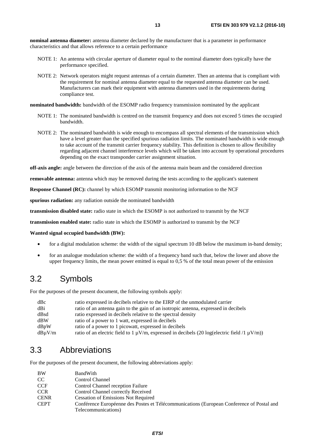<span id="page-12-0"></span>**nominal antenna diameter:** antenna diameter declared by the manufacturer that is a parameter in performance characteristics and that allows reference to a certain performance

- NOTE 1: An antenna with circular aperture of diameter equal to the nominal diameter does typically have the performance specified.
- NOTE 2: Network operators might request antennas of a certain diameter. Then an antenna that is compliant with the requirement for nominal antenna diameter equal to the requested antenna diameter can be used. Manufacturers can mark their equipment with antenna diameters used in the requirements during compliance test.

**nominated bandwidth:** bandwidth of the ESOMP radio frequency transmission nominated by the applicant

- NOTE 1: The nominated bandwidth is centred on the transmit frequency and does not exceed 5 times the occupied bandwidth.
- NOTE 2: The nominated bandwidth is wide enough to encompass all spectral elements of the transmission which have a level greater than the specified spurious radiation limits. The nominated bandwidth is wide enough to take account of the transmit carrier frequency stability. This definition is chosen to allow flexibility regarding adjacent channel interference levels which will be taken into account by operational procedures depending on the exact transponder carrier assignment situation.

**off-axis angle:** angle between the direction of the axis of the antenna main beam and the considered direction

**removable antenna:** antenna which may be removed during the tests according to the applicant's statement

**Response Channel (RC):** channel by which ESOMP transmit monitoring information to the NCF

**spurious radiation:** any radiation outside the nominated bandwidth

**transmission disabled state:** radio state in which the ESOMP is not authorized to transmit by the NCF

**transmission enabled state:** radio state in which the ESOMP is authorized to transmit by the NCF

**Wanted signal occupied bandwidth (BW):**

- for a digital modulation scheme: the width of the signal spectrum 10 dB below the maximum in-band density;
- for an analogue modulation scheme: the width of a frequency band such that, below the lower and above the upper frequency limits, the mean power emitted is equal to 0,5 % of the total mean power of the emission

## 3.2 Symbols

For the purposes of the present document, the following symbols apply:

| dBc         | ratio expressed in decibels relative to the EIRP of the unmodulated carrier                            |
|-------------|--------------------------------------------------------------------------------------------------------|
| dBi         | ratio of an antenna gain to the gain of an isotropic antenna, expressed in decibels                    |
| dBsd        | ratio expressed in decibels relative to the spectral density                                           |
| dBW         | ratio of a power to 1 watt, expressed in decibels                                                      |
| dBpW        | ratio of a power to 1 picowatt, expressed in decibels                                                  |
| $dB\mu V/m$ | ratio of an electric field to 1 $\mu$ V/m, expressed in decibels (20 log(electric field /1 $\mu$ V/m)) |

## 3.3 Abbreviations

For the purposes of the present document, the following abbreviations apply:

| <b>BW</b>   | BandWith                                                                                  |
|-------------|-------------------------------------------------------------------------------------------|
| CC.         | Control Channel                                                                           |
| <b>CCF</b>  | Control Channel reception Failure                                                         |
| <b>CCR</b>  | Control Channel correctly Received                                                        |
| <b>CENR</b> | <b>Cessation of Emissions Not Required</b>                                                |
| <b>CEPT</b> | Conférence Européenne des Postes et Télécommunications (European Conference of Postal and |
|             | Telecommunications)                                                                       |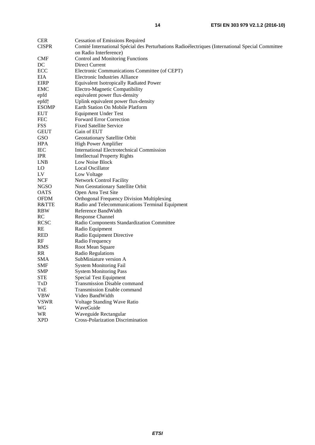| <b>CER</b>      | <b>Cessation of Emissions Required</b>                                                           |
|-----------------|--------------------------------------------------------------------------------------------------|
| <b>CISPR</b>    | Comité International Spécial des Perturbations Radioélectriques (International Special Committee |
|                 | on Radio Interference)                                                                           |
| <b>CMF</b>      | <b>Control and Monitoring Functions</b>                                                          |
| DC              | Direct Current                                                                                   |
| ECC             | Electronic Communications Committee (of CEPT)                                                    |
| EIA             | <b>Electronic Industries Alliance</b>                                                            |
| <b>EIRP</b>     | <b>Equivalent Isotropically Radiated Power</b>                                                   |
| <b>EMC</b>      | Electro-Magnetic Compatibility                                                                   |
| epfd            | equivalent power flux-density                                                                    |
| epfd $\uparrow$ | Uplink equivalent power flux-density                                                             |
| <b>ESOMP</b>    | Earth Station On Mobile Platform                                                                 |
| <b>EUT</b>      | <b>Equipment Under Test</b>                                                                      |
| <b>FEC</b>      | <b>Forward Error Correction</b>                                                                  |
| <b>FSS</b>      | <b>Fixed Satellite Service</b>                                                                   |
| <b>GEUT</b>     | Gain of EUT                                                                                      |
| GSO             | Geostationary Satellite Orbit                                                                    |
| <b>HPA</b>      | High Power Amplifier                                                                             |
| <b>IEC</b>      | <b>International Electrotechnical Commission</b>                                                 |
| <b>IPR</b>      | <b>Intellectual Property Rights</b>                                                              |
| <b>LNB</b>      | Low Noise Block                                                                                  |
| LO              | Local Oscillator                                                                                 |
| LV              | Low Voltage                                                                                      |
| <b>NCF</b>      | <b>Network Control Facility</b>                                                                  |
| <b>NGSO</b>     | Non Geostationary Satellite Orbit                                                                |
| <b>OATS</b>     | Open Area Test Site                                                                              |
| <b>OFDM</b>     | <b>Orthogonal Frequency Division Multiplexing</b>                                                |
| R&TTE           | Radio and Telecommunications Terminal Equipment                                                  |
| <b>RBW</b>      | Reference BandWidth                                                                              |
| <b>RC</b>       | <b>Response Channel</b>                                                                          |
| <b>RCSC</b>     | Radio Components Standardization Committee                                                       |
| <b>RE</b>       | Radio Equipment                                                                                  |
| <b>RED</b>      | Radio Equipment Directive                                                                        |
| RF              | Radio Frequency                                                                                  |
| <b>RMS</b>      | Root Mean Square                                                                                 |
| <b>RR</b>       | Radio Regulations                                                                                |
| <b>SMA</b>      | SubMiniature version A                                                                           |
| SMF             | <b>System Monitoring Fail</b>                                                                    |
| <b>SMP</b>      | <b>System Monitoring Pass</b>                                                                    |
| <b>STE</b>      | <b>Special Test Equipment</b>                                                                    |
| TxD             | <b>Transmission Disable command</b>                                                              |
| TxE             | <b>Transmission Enable command</b>                                                               |
| <b>VBW</b>      | Video BandWidth                                                                                  |
| <b>VSWR</b>     | Voltage Standing Wave Ratio                                                                      |
| WG              | WaveGuide                                                                                        |
| <b>WR</b>       | Waveguide Rectangular                                                                            |
| <b>XPD</b>      | <b>Cross-Polarization Discrimination</b>                                                         |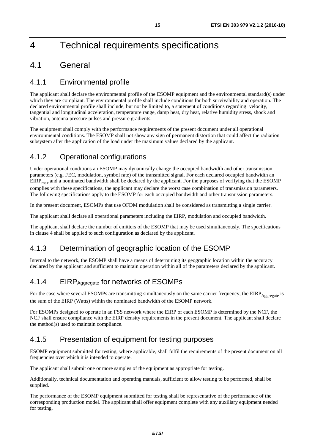# <span id="page-14-0"></span>4 Technical requirements specifications

# 4.1 General

## 4.1.1 Environmental profile

The applicant shall declare the environmental profile of the ESOMP equipment and the environmental standard(s) under which they are compliant. The environmental profile shall include conditions for both survivability and operation. The declared environmental profile shall include, but not be limited to, a statement of conditions regarding: velocity, tangential and longitudinal acceleration, temperature range, damp heat, dry heat, relative humidity stress, shock and vibration, antenna pressure pulses and pressure gradients.

The equipment shall comply with the performance requirements of the present document under all operational environmental conditions. The ESOMP shall not show any sign of permanent distortion that could affect the radiation subsystem after the application of the load under the maximum values declared by the applicant.

## 4.1.2 Operational configurations

Under operational conditions an ESOMP may dynamically change the occupied bandwidth and other transmission parameters (e.g. FEC, modulation, symbol rate) of the transmitted signal. For each declared occupied bandwidth an  $EIRP<sub>max</sub>$  and a nominated bandwidth shall be declared by the applicant. For the purposes of verifying that the ESOMP complies with these specifications, the applicant may declare the worst case combination of transmission parameters. The following specifications apply to the ESOMP for each occupied bandwidth and other transmission parameters.

In the present document, ESOMPs that use OFDM modulation shall be considered as transmitting a single carrier.

The applicant shall declare all operational parameters including the EIRP, modulation and occupied bandwidth.

The applicant shall declare the number of emitters of the ESOMP that may be used simultaneously. The specifications in clause 4 shall be applied to such configuration as declared by the applicant.

## 4.1.3 Determination of geographic location of the ESOMP

Internal to the network, the ESOMP shall have a means of determining its geographic location within the accuracy declared by the applicant and sufficient to maintain operation within all of the parameters declared by the applicant.

# 4.1.4 EIRP Aggregate for networks of ESOMPs

For the case where several ESOMPs are transmitting simultaneously on the same carrier frequency, the  $EIRP_{A\text{gogregate}}$  is the sum of the EIRP (Watts) within the nominated bandwidth of the ESOMP network.

For ESOMPs designed to operate in an FSS network where the EIRP of each ESOMP is determined by the NCF, the NCF shall ensure compliance with the EIRP density requirements in the present document. The applicant shall declare the method(s) used to maintain compliance.

## 4.1.5 Presentation of equipment for testing purposes

ESOMP equipment submitted for testing, where applicable, shall fulfil the requirements of the present document on all frequencies over which it is intended to operate.

The applicant shall submit one or more samples of the equipment as appropriate for testing.

Additionally, technical documentation and operating manuals, sufficient to allow testing to be performed, shall be supplied.

The performance of the ESOMP equipment submitted for testing shall be representative of the performance of the corresponding production model. The applicant shall offer equipment complete with any auxiliary equipment needed for testing.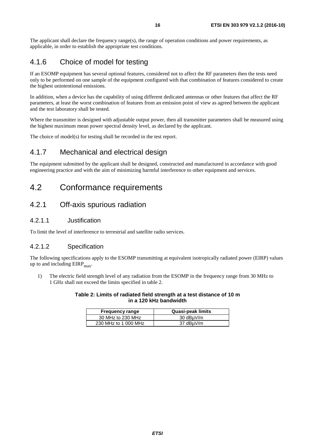<span id="page-15-0"></span>The applicant shall declare the frequency range(s), the range of operation conditions and power requirements, as applicable, in order to establish the appropriate test conditions.

## 4.1.6 Choice of model for testing

If an ESOMP equipment has several optional features, considered not to affect the RF parameters then the tests need only to be performed on one sample of the equipment configured with that combination of features considered to create the highest unintentional emissions.

In addition, when a device has the capability of using different dedicated antennas or other features that affect the RF parameters, at least the worst combination of features from an emission point of view as agreed between the applicant and the test laboratory shall be tested.

Where the transmitter is designed with adjustable output power, then all transmitter parameters shall be measured using the highest maximum mean power spectral density level, as declared by the applicant.

The choice of model(s) for testing shall be recorded in the test report.

### 4.1.7 Mechanical and electrical design

The equipment submitted by the applicant shall be designed, constructed and manufactured in accordance with good engineering practice and with the aim of minimizing harmful interference to other equipment and services.

## 4.2 Conformance requirements

### 4.2.1 Off-axis spurious radiation

### 4.2.1.1 Justification

To limit the level of interference to terrestrial and satellite radio services.

### 4.2.1.2 Specification

The following specifications apply to the ESOMP transmitting at equivalent isotropically radiated power (EIRP) values up to and including  $EIRP<sub>max</sub>$ .

1) The electric field strength level of any radiation from the ESOMP in the frequency range from 30 MHz to 1 GHz shall not exceed the limits specified in table 2.

#### **Table 2: Limits of radiated field strength at a test distance of 10 m in a 120 kHz bandwidth**

| <b>Frequency range</b> | <b>Quasi-peak limits</b> |
|------------------------|--------------------------|
| 30 MHz to 230 MHz      | 30 dBµV/m                |
| 230 MHz to 1 000 MHz   | 37 dBµV/m                |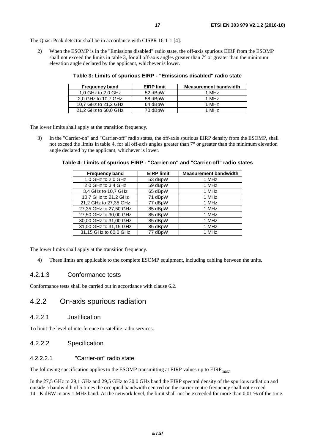<span id="page-16-0"></span>The Quasi Peak detector shall be in accordance with CISPR 16-1-1 [\[4](#page-9-0)].

2) When the ESOMP is in the "Emissions disabled" radio state, the off-axis spurious EIRP from the ESOMP shall not exceed the limits in table 3, for all off-axis angles greater than  $7^{\circ}$  or greater than the minimum elevation angle declared by the applicant, whichever is lower.

| <b>Frequency band</b> | <b>EIRP limit</b> | <b>Measurement bandwidth</b> |
|-----------------------|-------------------|------------------------------|
| 1,0 GHz to 2,0 GHz    | 52 dBpW           | 1 MH <sub>z</sub>            |
| 2.0 GHz to 10.7 GHz   | 58 dBpW           | 1 MHz                        |
| 10.7 GHz to 21.2 GHz  | 64 dBpW           | 1 MHz                        |
| 21,2 GHz to 60,0 GHz  | 70 dBpW           | 1 MHz                        |

**Table 3: Limits of spurious EIRP - "Emissions disabled" radio state** 

The lower limits shall apply at the transition frequency.

3) In the "Carrier-on" and "Carrier-off" radio states, the off-axis spurious EIRP density from the ESOMP, shall not exceed the limits in table 4, for all off-axis angles greater than 7° or greater than the minimum elevation angle declared by the applicant, whichever is lower.

| <b>Frequency band</b>  | <b>EIRP limit</b> | <b>Measurement bandwidth</b> |
|------------------------|-------------------|------------------------------|
| 1,0 GHz to 2,0 GHz     | 53 dBpW           | 1 MHz                        |
| 2,0 GHz to 3,4 GHz     | 59 dBpW           | 1 MHz                        |
| 3,4 GHz to 10,7 GHz    | 65 dBpW           | 1 MHz                        |
| 10,7 GHz to 21,2 GHz   | 71 dBpW           | 1 MHz                        |
| 21,2 GHz to 27,35 GHz  | 77 dBpW           | 1 MHz                        |
| 27,35 GHz to 27,50 GHz | 85 dBpW           | 1 MHz                        |
| 27,50 GHz to 30,00 GHz | 85 dBpW           | 1 MHz                        |
| 30,00 GHz to 31,00 GHz | 85 dBpW           | 1 MHz                        |
| 31,00 GHz to 31,15 GHz | 85 dBpW           | 1 MHz                        |
| 31,15 GHz to 60,0 GHz  | 77 dBpW           | 1 MHz                        |

**Table 4: Limits of spurious EIRP - "Carrier-on" and "Carrier-off" radio states** 

The lower limits shall apply at the transition frequency.

4) These limits are applicable to the complete ESOMP equipment, including cabling between the units.

### 4.2.1.3 Conformance tests

Conformance tests shall be carried out in accordance with clause 6.2.

### 4.2.2 On-axis spurious radiation

### 4.2.2.1 Justification

To limit the level of interference to satellite radio services.

#### 4.2.2.2 Specification

### 4.2.2.2.1 "Carrier-on" radio state

The following specification applies to the ESOMP transmitting at EIRP values up to EIRP<sub>max</sub>.

In the 27,5 GHz to 29,1 GHz and 29,5 GHz to 30,0 GHz band the EIRP spectral density of the spurious radiation and outside a bandwidth of 5 times the occupied bandwidth centred on the carrier centre frequency shall not exceed 14 - K dBW in any 1 MHz band. At the network level, the limit shall not be exceeded for more than 0,01 % of the time.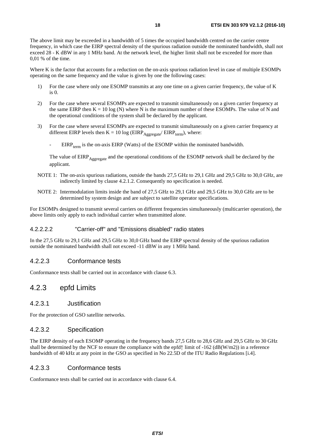<span id="page-17-0"></span>The above limit may be exceeded in a bandwidth of 5 times the occupied bandwidth centred on the carrier centre frequency, in which case the EIRP spectral density of the spurious radiation outside the nominated bandwidth, shall not exceed 28 - K dBW in any 1 MHz band. At the network level, the higher limit shall not be exceeded for more than 0,01 % of the time.

Where K is the factor that accounts for a reduction on the on-axis spurious radiation level in case of multiple ESOMPs operating on the same frequency and the value is given by one the following cases:

- 1) For the case where only one ESOMP transmits at any one time on a given carrier frequency, the value of K is 0.
- 2) For the case where several ESOMPs are expected to transmit simultaneously on a given carrier frequency at the same EIRP then  $K = 10 \log(N)$  where N is the maximum number of these ESOMPs. The value of N and the operational conditions of the system shall be declared by the applicant.
- 3) For the case where several ESOMPs are expected to transmit simultaneously on a given carrier frequency at different EIRP levels then  $K = 10 \log (EIRP_{Aegregate} / EIRP_{term})$ , where:
	- $EIRP_{term}$  is the on-axis EIRP (Watts) of the ESOMP within the nominated bandwidth.

The value of EIRP<sub>Aggregate</sub> and the operational conditions of the ESOMP network shall be declared by the applicant.

- NOTE 1: The on-axis spurious radiations, outside the bands 27,5 GHz to 29,1 GHz and 29,5 GHz to 30,0 GHz, are indirectly limited by clause 4.2.1.2. Consequently no specification is needed.
- NOTE 2: Intermodulation limits inside the band of 27,5 GHz to 29,1 GHz and 29,5 GHz to 30,0 GHz are to be determined by system design and are subject to satellite operator specifications.

For ESOMPs designed to transmit several carriers on different frequencies simultaneously (multicarrier operation), the above limits only apply to each individual carrier when transmitted alone.

### 4.2.2.2.2 "Carrier-off" and "Emissions disabled" radio states

In the 27,5 GHz to 29,1 GHz and 29,5 GHz to 30,0 GHz band the EIRP spectral density of the spurious radiation outside the nominated bandwidth shall not exceed -11 dBW in any 1 MHz band.

### 4.2.2.3 Conformance tests

Conformance tests shall be carried out in accordance with clause 6.3.

### 4.2.3 epfd Limits

### 4.2.3.1 Justification

For the protection of GSO satellite networks.

### 4.2.3.2 Specification

The EIRP density of each ESOMP operating in the frequency bands 27,5 GHz to 28,6 GHz and 29,5 GHz to 30 GHz shall be determined by the NCF to ensure the compliance with the epfd↑ limit of -162 (dB(W/m2)) in a reference bandwidth of 40 kHz at any point in the GSO as specified in No 22.5D of the ITU Radio Regulations [\[i.4](#page-10-0)].

### 4.2.3.3 Conformance tests

Conformance tests shall be carried out in accordance with clause 6.4.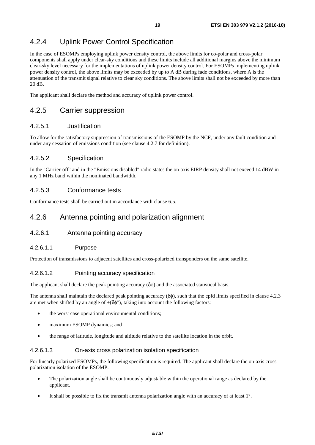## <span id="page-18-0"></span>4.2.4 Uplink Power Control Specification

In the case of ESOMPs employing uplink power density control, the above limits for co-polar and cross-polar components shall apply under clear-sky conditions and these limits include all additional margins above the minimum clear-sky level necessary for the implementations of uplink power density control. For ESOMPs implementing uplink power density control, the above limits may be exceeded by up to A dB during fade conditions, where A is the attenuation of the transmit signal relative to clear sky conditions. The above limits shall not be exceeded by more than 20 dB.

The applicant shall declare the method and accuracy of uplink power control.

### 4.2.5 Carrier suppression

### 4.2.5.1 Justification

To allow for the satisfactory suppression of transmissions of the ESOMP by the NCF, under any fault condition and under any cessation of emissions condition (see clause 4.2.7 for definition).

### 4.2.5.2 Specification

In the "Carrier-off" and in the "Emissions disabled" radio states the on-axis EIRP density shall not exceed 14 dBW in any 1 MHz band within the nominated bandwidth.

### 4.2.5.3 Conformance tests

Conformance tests shall be carried out in accordance with clause 6.5.

### 4.2.6 Antenna pointing and polarization alignment

### 4.2.6.1 Antenna pointing accuracy

### 4.2.6.1.1 Purpose

Protection of transmissions to adjacent satellites and cross-polarized transponders on the same satellite.

### 4.2.6.1.2 Pointing accuracy specification

The applicant shall declare the peak pointing accuracy  $(\delta \phi)$  and the associated statistical basis.

The antenna shall maintain the declared peak pointing accuracy  $(\delta \phi)$ , such that the epfd limits specified in clause 4.2.3 are met when shifted by an angle of  $\pm(\delta\phi^{\circ})$ , taking into account the following factors:

- the worst case operational environmental conditions;
- maximum ESOMP dynamics; and
- the range of latitude, longitude and altitude relative to the satellite location in the orbit.

### 4.2.6.1.3 On-axis cross polarization isolation specification

For linearly polarized ESOMPs, the following specification is required. The applicant shall declare the on-axis cross polarization isolation of the ESOMP:

- The polarization angle shall be continuously adjustable within the operational range as declared by the applicant.
- It shall be possible to fix the transmit antenna polarization angle with an accuracy of at least 1°.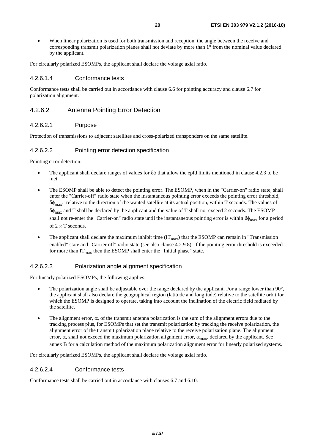<span id="page-19-0"></span>When linear polarization is used for both transmission and reception, the angle between the receive and corresponding transmit polarization planes shall not deviate by more than 1° from the nominal value declared by the applicant.

For circularly polarized ESOMPs, the applicant shall declare the voltage axial ratio.

### 4.2.6.1.4 Conformance tests

Conformance tests shall be carried out in accordance with clause 6.6 for pointing accuracy and clause 6.7 for polarization alignment.

### 4.2.6.2 Antenna Pointing Error Detection

#### 4.2.6.2.1 Purpose

Protection of transmissions to adjacent satellites and cross-polarized transponders on the same satellite.

#### 4.2.6.2.2 Pointing error detection specification

Pointing error detection:

- The applicant shall declare ranges of values for  $\delta\phi$  that allow the epfd limits mentioned in clause 4.2.3 to be met.
- The ESOMP shall be able to detect the pointing error. The ESOMP, when in the "Carrier-on" radio state, shall enter the "Carrier-off" radio state when the instantaneous pointing error exceeds the pointing error threshold,  $\delta\phi_{\text{max}}$ , relative to the direction of the wanted satellite at its actual position, within T seconds. The values of  $\delta\phi_{\text{max}}$  and T shall be declared by the applicant and the value of T shall not exceed 2 seconds. The ESOMP shall not re-enter the "Carrier-on" radio state until the instantaneous pointing error is within  $\delta\phi_{\rm max}$  for a period of  $2 \times T$  seconds.
- The applicant shall declare the maximum inhibit time  $(IT<sub>max</sub>)$  that the ESOMP can remain in "Transmission" enabled" state and "Carrier off" radio state (see also clause 4.2.9.8). If the pointing error threshold is exceeded for more than  $IT<sub>max</sub>$  then the ESOMP shall enter the "Initial phase" state.

#### 4.2.6.2.3 Polarization angle alignment specification

For linearly polarized ESOMPs, the following applies:

- The polarization angle shall be adjustable over the range declared by the applicant. For a range lower than 90°, the applicant shall also declare the geographical region (latitude and longitude) relative to the satellite orbit for which the ESOMP is designed to operate, taking into account the inclination of the electric field radiated by the satellite.
- The alignment error,  $\alpha$ , of the transmit antenna polarization is the sum of the alignment errors due to the tracking process plus, for ESOMPs that set the transmit polarization by tracking the receive polarization, the alignment error of the transmit polarization plane relative to the receive polarization plane. The alignment error,  $\alpha$ , shall not exceed the maximum polarization alignment error,  $\alpha_{\text{max}}$ , declared by the applicant. See annex B for a calculation method of the maximum polarization alignment error for linearly polarized systems.

For circularly polarized ESOMPs, the applicant shall declare the voltage axial ratio.

#### 4.2.6.2.4 Conformance tests

Conformance tests shall be carried out in accordance with clauses 6.7 and 6.10.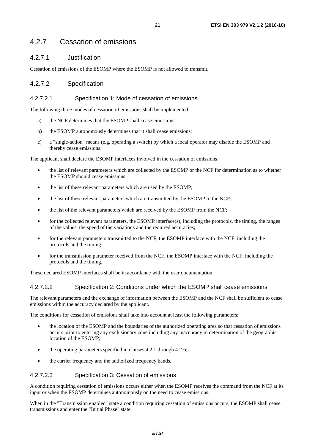### <span id="page-20-0"></span>4.2.7 Cessation of emissions

### 4.2.7.1 Justification

Cessation of emissions of the ESOMP where the ESOMP is not allowed to transmit.

### 4.2.7.2 Specification

### 4.2.7.2.1 Specification 1: Mode of cessation of emissions

The following three modes of cessation of emissions shall be implemented:

- a) the NCF determines that the ESOMP shall cease emissions;
- b) the ESOMP autonomously determines that it shall cease emissions;
- c) a "single-action" means (e.g. operating a switch) by which a local operator may disable the ESOMP and thereby cease emissions.

The applicant shall declare the ESOMP interfaces involved in the cessation of emissions:

- the list of relevant parameters which are collected by the ESOMP or the NCF for determination as to whether the ESOMP should cease emissions;
- the list of these relevant parameters which are used by the ESOMP;
- the list of these relevant parameters which are transmitted by the ESOMP to the NCF;
- the list of the relevant parameters which are received by the ESOMP from the NCF;
- for the collected relevant parameters, the ESOMP interface(s), including the protocols, the timing, the ranges of the values, the speed of the variations and the required accuracies;
- for the relevant parameters transmitted to the NCF, the ESOMP interface with the NCF, including the protocols and the timing;
- for the transmission parameter received from the NCF, the ESOMP interface with the NCF, including the protocols and the timing.

These declared ESOMP interfaces shall be in accordance with the user documentation.

#### 4.2.7.2.2 Specification 2: Conditions under which the ESOMP shall cease emissions

The relevant parameters and the exchange of information between the ESOMP and the NCF shall be sufficient to cease emissions within the accuracy declared by the applicant.

The conditions for cessation of emissions shall take into account at least the following parameters:

- the location of the ESOMP and the boundaries of the authorized operating area so that cessation of emissions occurs prior to entering any exclusionary zone including any inaccuracy in determination of the geographic location of the ESOMP;
- the operating parameters specified in clauses 4.2.1 through 4.2.6;
- the carrier frequency and the authorized frequency bands.

#### 4.2.7.2.3 Specification 3: Cessation of emissions

A condition requiring cessation of emissions occurs either when the ESOMP receives the command from the NCF at its input or when the ESOMP determines autonomously on the need to cease emissions.

When in the "Transmission enabled" state a condition requiring cessation of emissions occurs, the ESOMP shall cease transmissions and enter the "Initial Phase" state.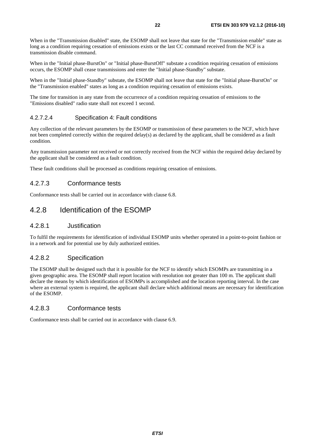<span id="page-21-0"></span>When in the "Transmission disabled" state, the ESOMP shall not leave that state for the "Transmission enable" state as long as a condition requiring cessation of emissions exists or the last CC command received from the NCF is a transmission disable command.

When in the "Initial phase-BurstOn" or "Initial phase-BurstOff" substate a condition requiring cessation of emissions occurs, the ESOMP shall cease transmissions and enter the "Initial phase-Standby" substate.

When in the "Initial phase-Standby" substate, the ESOMP shall not leave that state for the "Initial phase-BurstOn" or the "Transmission enabled" states as long as a condition requiring cessation of emissions exists.

The time for transition in any state from the occurrence of a condition requiring cessation of emissions to the "Emissions disabled" radio state shall not exceed 1 second.

### 4.2.7.2.4 Specification 4: Fault conditions

Any collection of the relevant parameters by the ESOMP or transmission of these parameters to the NCF, which have not been completed correctly within the required delay(s) as declared by the applicant, shall be considered as a fault condition.

Any transmission parameter not received or not correctly received from the NCF within the required delay declared by the applicant shall be considered as a fault condition.

These fault conditions shall be processed as conditions requiring cessation of emissions.

### 4.2.7.3 Conformance tests

Conformance tests shall be carried out in accordance with clause 6.8.

### 4.2.8 Identification of the ESOMP

### 4.2.8.1 Justification

To fulfil the requirements for identification of individual ESOMP units whether operated in a point-to-point fashion or in a network and for potential use by duly authorized entities.

### 4.2.8.2 Specification

The ESOMP shall be designed such that it is possible for the NCF to identify which ESOMPs are transmitting in a given geographic area. The ESOMP shall report location with resolution not greater than 100 m. The applicant shall declare the means by which identification of ESOMPs is accomplished and the location reporting interval. In the case where an external system is required, the applicant shall declare which additional means are necessary for identification of the ESOMP.

### 4.2.8.3 Conformance tests

Conformance tests shall be carried out in accordance with clause 6.9.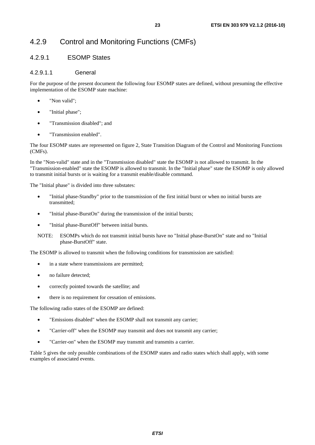# <span id="page-22-0"></span>4.2.9 Control and Monitoring Functions (CMFs)

### 4.2.9.1 ESOMP States

### 4.2.9.1.1 General

For the purpose of the present document the following four ESOMP states are defined, without presuming the effective implementation of the ESOMP state machine:

- "Non valid";
- "Initial phase";
- "Transmission disabled"; and
- "Transmission enabled".

The four ESOMP states are represented on figure 2, State Transition Diagram of the Control and Monitoring Functions (CMFs).

In the "Non-valid" state and in the "Transmission disabled" state the ESOMP is not allowed to transmit. In the "Transmission-enabled" state the ESOMP is allowed to transmit. In the "Initial phase" state the ESOMP is only allowed to transmit initial bursts or is waiting for a transmit enable/disable command.

The "Initial phase" is divided into three substates:

- "Initial phase-Standby" prior to the transmission of the first initial burst or when no initial bursts are transmitted;
- "Initial phase-BurstOn" during the transmission of the initial bursts;
- "Initial phase-BurstOff" between initial bursts.
- NOTE: ESOMPs which do not transmit initial bursts have no "Initial phase-BurstOn" state and no "Initial phase-BurstOff" state.

The ESOMP is allowed to transmit when the following conditions for transmission are satisfied:

- in a state where transmissions are permitted;
- no failure detected;
- correctly pointed towards the satellite; and
- there is no requirement for cessation of emissions.

The following radio states of the ESOMP are defined:

- "Emissions disabled" when the ESOMP shall not transmit any carrier;
- "Carrier-off" when the ESOMP may transmit and does not transmit any carrier;
- "Carrier-on" when the ESOMP may transmit and transmits a carrier.

Table 5 gives the only possible combinations of the ESOMP states and radio states which shall apply, with some examples of associated events.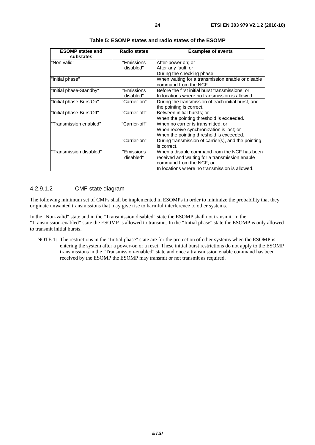<span id="page-23-0"></span>

| <b>ESOMP</b> states and<br>substates | <b>Radio states</b>     | <b>Examples of events</b>                                                                                                                                                    |
|--------------------------------------|-------------------------|------------------------------------------------------------------------------------------------------------------------------------------------------------------------------|
| "Non valid"                          | "Emissions<br>disabled" | After-power on; or<br>After any fault; or<br>During the checking phase.                                                                                                      |
| "Initial phase"                      |                         | When waiting for a transmission enable or disable<br>command from the NCF.                                                                                                   |
| "Initial phase-Standby"              | "Emissions<br>disabled" | Before the first initial burst transmissions; or<br>In locations where no transmission is allowed.                                                                           |
| "Initial phase-BurstOn"              | "Carrier-on"            | During the transmission of each initial burst, and<br>the pointing is correct.                                                                                               |
| "Initial phase-BurstOff"             | "Carrier-off"           | Between initial bursts; or<br>When the pointing threshold is exceeded.                                                                                                       |
| "Transmission enabled"               | "Carrier-off"           | When no carrier is transmitted; or<br>When receive synchronization is lost; or<br>When the pointing threshold is exceeded.                                                   |
|                                      | "Carrier-on"            | During transmission of carrier(s), and the pointing<br>is correct.                                                                                                           |
| "Transmission disabled"              | "Emissions<br>disabled" | When a disable command from the NCF has been<br>received and waiting for a transmission enable<br>command from the NCF; or<br>In locations where no transmission is allowed. |

**Table 5: ESOMP states and radio states of the ESOMP** 

### 4.2.9.1.2 CMF state diagram

The following minimum set of CMFs shall be implemented in ESOMPs in order to minimize the probability that they originate unwanted transmissions that may give rise to harmful interference to other systems.

In the "Non-valid" state and in the "Transmission disabled" state the ESOMP shall not transmit. In the "Transmission-enabled" state the ESOMP is allowed to transmit. In the "Initial phase" state the ESOMP is only allowed to transmit initial bursts.

NOTE 1: The restrictions in the "Initial phase" state are for the protection of other systems when the ESOMP is entering the system after a power-on or a reset. These initial burst restrictions do not apply to the ESOMP transmissions in the "Transmission-enabled" state and once a transmission enable command has been received by the ESOMP the ESOMP may transmit or not transmit as required.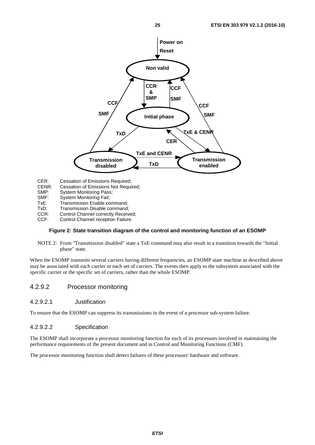<span id="page-24-0"></span>

CER: Cessation of Emissions Required;

- CENR: Cessation of Emissions Not Required;
- 
- SMP: System Monitoring Pass;<br>SMF: System Monitoring Fail; System Monitoring Fail;
- TxE: Transmission Enable command;
- TxD: Transmission Disable command;
- CCR: Control Channel correctly Received;<br>CCF: Control Channel reception Failure.
- Control Channel reception Failure.

#### **Figure 2: State transition diagram of the control and monitoring function of an ESOMP**

NOTE 2: From "Transmission disabled" state a TxE command may also result in a transition towards the "Initial phase" state.

When the ESOMP transmits several carriers having different frequencies, an ESOMP state machine as described above may be associated with each carrier or each set of carriers. The events then apply to the subsystem associated with the specific carrier or the specific set of carriers, rather than the whole ESOMP.

### 4.2.9.2 Processor monitoring

### 4.2.9.2.1 Justification

To ensure that the ESOMP can suppress its transmissions in the event of a processor sub-system failure.

### 4.2.9.2.2 Specification

The ESOMP shall incorporate a processor monitoring function for each of its processors involved in maintaining the performance requirements of the present document and in Control and Monitoring Functions (CMF).

The processor monitoring function shall detect failures of these processors' hardware and software.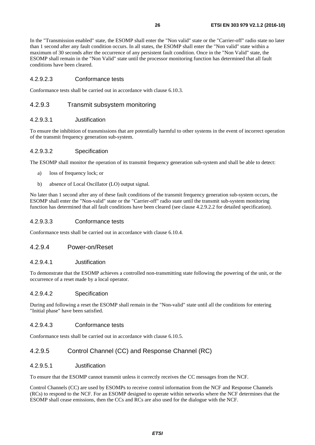<span id="page-25-0"></span>In the "Transmission enabled" state, the ESOMP shall enter the "Non valid" state or the "Carrier-off" radio state no later than 1 second after any fault condition occurs. In all states, the ESOMP shall enter the "Non valid" state within a maximum of 30 seconds after the occurrence of any persistent fault condition. Once in the "Non Valid" state, the ESOMP shall remain in the "Non Valid" state until the processor monitoring function has determined that all fault conditions have been cleared.

### 4.2.9.2.3 Conformance tests

Conformance tests shall be carried out in accordance with clause 6.10.3.

### 4.2.9.3 Transmit subsystem monitoring

#### 4.2.9.3.1 Justification

To ensure the inhibition of transmissions that are potentially harmful to other systems in the event of incorrect operation of the transmit frequency generation sub-system.

#### 4.2.9.3.2 Specification

The ESOMP shall monitor the operation of its transmit frequency generation sub-system and shall be able to detect:

- a) loss of frequency lock; or
- b) absence of Local Oscillator (LO) output signal.

No later than 1 second after any of these fault conditions of the transmit frequency generation sub-system occurs, the ESOMP shall enter the "Non-valid" state or the "Carrier-off" radio state until the transmit sub-system monitoring function has determined that all fault conditions have been cleared (see clause 4.2.9.2.2 for detailed specification).

#### 4.2.9.3.3 Conformance tests

Conformance tests shall be carried out in accordance with clause 6.10.4.

### 4.2.9.4 Power-on/Reset

#### 4.2.9.4.1 Justification

To demonstrate that the ESOMP achieves a controlled non-transmitting state following the powering of the unit, or the occurrence of a reset made by a local operator.

#### 4.2.9.4.2 Specification

During and following a reset the ESOMP shall remain in the "Non-valid" state until all the conditions for entering "Initial phase" have been satisfied.

### 4.2.9.4.3 Conformance tests

Conformance tests shall be carried out in accordance with clause 6.10.5.

### 4.2.9.5 Control Channel (CC) and Response Channel (RC)

### 4.2.9.5.1 Justification

To ensure that the ESOMP cannot transmit unless it correctly receives the CC messages from the NCF.

Control Channels (CC) are used by ESOMPs to receive control information from the NCF and Response Channels (RCs) to respond to the NCF. For an ESOMP designed to operate within networks where the NCF determines that the ESOMP shall cease emissions, then the CCs and RCs are also used for the dialogue with the NCF.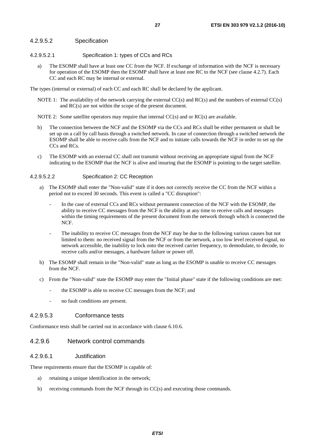#### <span id="page-26-0"></span>4.2.9.5.2 Specification

- 4.2.9.5.2.1 Specification 1: types of CCs and RCs
	- a) The ESOMP shall have at least one CC from the NCF. If exchange of information with the NCF is necessary for operation of the ESOMP then the ESOMP shall have at least one RC to the NCF (see clause 4.2.7). Each CC and each RC may be internal or external.

The types (internal or external) of each CC and each RC shall be declared by the applicant.

- NOTE 1: The availability of the network carrying the external  $CC(s)$  and  $RC(s)$  and the numbers of external  $CC(s)$ and RC(s) are not within the scope of the present document.
- NOTE 2: Some satellite operators may require that internal CC(s) and or RC(s) are available.
- b) The connection between the NCF and the ESOMP via the CCs and RCs shall be either permanent or shall be set up on a call by call basis through a switched network. In case of connection through a switched network the ESOMP shall be able to receive calls from the NCF and to initiate calls towards the NCF in order to set up the CCs and RCs.
- c) The ESOMP with an external CC shall not transmit without receiving an appropriate signal from the NCF indicating to the ESOMP that the NCF is alive and insuring that the ESOMP is pointing to the target satellite.

#### 4.2.9.5.2.2 Specification 2: CC Reception

- a) The ESOMP shall enter the "Non-valid" state if it does not correctly receive the CC from the NCF within a period not to exceed 30 seconds. This event is called a "CC disruption":
	- In the case of external CCs and RCs without permanent connection of the NCF with the ESOMP, the ability to receive CC messages from the NCF is the ability at any time to receive calls and messages within the timing requirements of the present document from the network through which is connected the NCF.
	- The inability to receive CC messages from the NCF may be due to the following various causes but not limited to them: no received signal from the NCF or from the network, a too low level received signal, no network accessible, the inability to lock onto the received carrier frequency, to demodulate, to decode, to receive calls and/or messages, a hardware failure or power off.
- b) The ESOMP shall remain in the "Non-valid" state as long as the ESOMP is unable to receive CC messages from the NCF.
- c) From the "Non-valid" state the ESOMP may enter the "Initial phase" state if the following conditions are met:
	- the ESOMP is able to receive CC messages from the NCF; and
	- no fault conditions are present.

### 4.2.9.5.3 Conformance tests

Conformance tests shall be carried out in accordance with clause 6.10.6.

#### 4.2.9.6 Network control commands

#### 4.2.9.6.1 Justification

These requirements ensure that the ESOMP is capable of:

- a) retaining a unique identification in the network;
- b) receiving commands from the NCF through its CC(s) and executing those commands.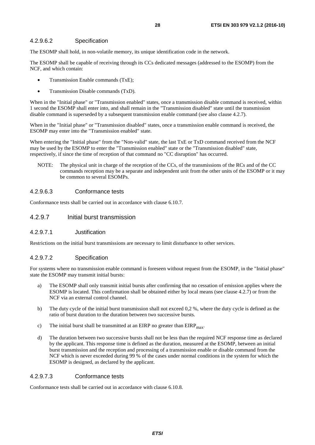### <span id="page-27-0"></span>4.2.9.6.2 Specification

The ESOMP shall hold, in non-volatile memory, its unique identification code in the network.

The ESOMP shall be capable of receiving through its CCs dedicated messages (addressed to the ESOMP) from the NCF, and which contain:

- Transmission Enable commands (TxE);
- Transmission Disable commands (TxD).

When in the "Initial phase" or "Transmission enabled" states, once a transmission disable command is received, within 1 second the ESOMP shall enter into, and shall remain in the "Transmission disabled" state until the transmission disable command is superseded by a subsequent transmission enable command (see also clause 4.2.7).

When in the "Initial phase" or "Transmission disabled" states, once a transmission enable command is received, the ESOMP may enter into the "Transmission enabled" state.

When entering the "Initial phase" from the "Non-valid" state, the last TxE or TxD command received from the NCF may be used by the ESOMP to enter the "Transmission enabled" state or the "Transmission disabled" state, respectively, if since the time of reception of that command no "CC disruption" has occurred.

NOTE: The physical unit in charge of the reception of the CCs, of the transmissions of the RCs and of the CC commands reception may be a separate and independent unit from the other units of the ESOMP or it may be common to several ESOMPs.

### 4.2.9.6.3 Conformance tests

Conformance tests shall be carried out in accordance with clause 6.10.7.

### 4.2.9.7 Initial burst transmission

#### 4.2.9.7.1 Justification

Restrictions on the initial burst transmissions are necessary to limit disturbance to other services.

#### 4.2.9.7.2 Specification

For systems where no transmission enable command is foreseen without request from the ESOMP, in the "Initial phase" state the ESOMP may transmit initial bursts:

- a) The ESOMP shall only transmit initial bursts after confirming that no cessation of emission applies where the ESOMP is located. This confirmation shall be obtained either by local means (see clause 4.2.7) or from the NCF via an external control channel.
- b) The duty cycle of the initial burst transmission shall not exceed 0,2 %, where the duty cycle is defined as the ratio of burst duration to the duration between two successive bursts.
- c) The initial burst shall be transmitted at an EIRP no greater than  $EIRP<sub>max</sub>$ .
- d) The duration between two successive bursts shall not be less than the required NCF response time as declared by the applicant. This response time is defined as the duration, measured at the ESOMP, between an initial burst transmission and the reception and processing of a transmission enable or disable command from the NCF which is never exceeded during 99 % of the cases under normal conditions in the system for which the ESOMP is designed, as declared by the applicant.

#### 4.2.9.7.3 Conformance tests

Conformance tests shall be carried out in accordance with clause 6.10.8.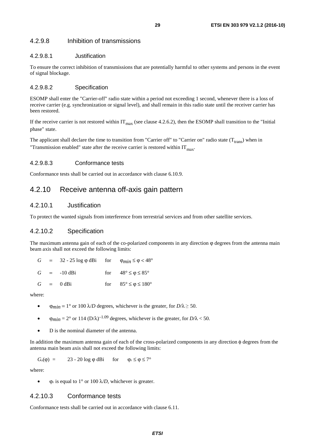### <span id="page-28-0"></span>4.2.9.8 Inhibition of transmissions

### 4.2.9.8.1 Justification

To ensure the correct inhibition of transmissions that are potentially harmful to other systems and persons in the event of signal blockage.

#### 4.2.9.8.2 Specification

ESOMP shall enter the "Carrier-off" radio state within a period not exceeding 1 second, whenever there is a loss of receive carrier (e.g. synchronization or signal level), and shall remain in this radio state until the receiver carrier has been restored.

If the receive carrier is not restored within  $IT_{max}$  (see clause 4.2.6.2), then the ESOMP shall transition to the "Initial phase" state.

The applicant shall declare the time to transition from "Carrier off" to "Carrier on" radio state  $(T_{trans})$  when in "Transmission enabled" state after the receive carrier is restored within  $IT<sub>max</sub>$ .

#### 4.2.9.8.3 Conformance tests

Conformance tests shall be carried out in accordance with clause 6.10.9.

### 4.2.10 Receive antenna off-axis gain pattern

### 4.2.10.1 Justification

To protect the wanted signals from interference from terrestrial services and from other satellite services.

### 4.2.10.2 Specification

The maximum antenna gain of each of the co-polarized components in any direction  $\varphi$  degrees from the antenna main beam axis shall not exceed the following limits:

|  | $G = 32 - 25 \log \varphi \, dB$ for $\varphi_{min} \le \varphi < 48^{\circ}$ |                                              |
|--|-------------------------------------------------------------------------------|----------------------------------------------|
|  | $G = -10$ dBi                                                                 | for $48^{\circ} \le \varphi \le 85^{\circ}$  |
|  | $G = 0$ dBi                                                                   | for $85^{\circ} \le \varphi \le 180^{\circ}$ |

where:

- $\varphi_{min} = 1^{\circ}$  or 100  $\lambda/D$  degrees, whichever is the greater, for  $D/\lambda \ge 50$ .
- $\varphi_{min} = 2^{\circ}$  or 114 (D/ $\lambda$ )<sup>-1.09</sup> degrees, whichever is the greater, for D/ $\lambda$  < 50.
- D is the nominal diameter of the antenna.

In addition the maximum antenna gain of each of the cross-polarized components in any direction φ degrees from the antenna main beam axis shall not exceed the following limits:

$$
G_x(\varphi) = 23 - 20 \log \varphi \, \text{dBi} \quad \text{for} \quad \varphi_r \le \varphi \le 7^\circ
$$

where:

 $\varphi_r$  is equal to 1° or 100  $\lambda/D$ , whichever is greater.

### 4.2.10.3 Conformance tests

Conformance tests shall be carried out in accordance with clause 6.11.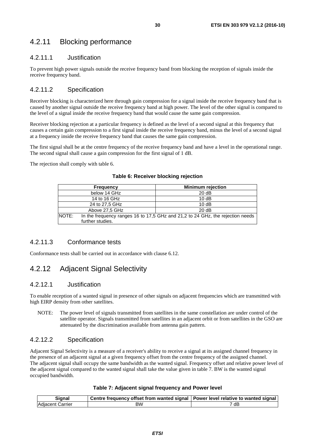### <span id="page-29-0"></span>4.2.11 Blocking performance

### 4.2.11.1 Justification

To prevent high power signals outside the receive frequency band from blocking the reception of signals inside the receive frequency band.

### 4.2.11.2 Specification

Receiver blocking is characterized here through gain compression for a signal inside the receive frequency band that is caused by another signal outside the receive frequency band at high power. The level of the other signal is compared to the level of a signal inside the receive frequency band that would cause the same gain compression.

Receiver blocking rejection at a particular frequency is defined as the level of a second signal at this frequency that causes a certain gain compression to a first signal inside the receive frequency band, minus the level of a second signal at a frequency inside the receive frequency band that causes the same gain compression.

The first signal shall be at the centre frequency of the receive frequency band and have a level in the operational range. The second signal shall cause a gain compression for the first signal of 1 dB.

The rejection shall comply with table 6.

|              | <b>Frequency</b> | <b>Minimum rejection</b>                                                       |
|--------------|------------------|--------------------------------------------------------------------------------|
|              | below 14 GHz     | 20dB                                                                           |
| 14 to 16 GHz |                  | 10dB                                                                           |
|              | 24 to 27,5 GHz   | 10dB                                                                           |
|              | Above 27,5 GHz   | 20 dB                                                                          |
| NOTE:        | further studies. | In the frequency ranges 16 to 17,5 GHz and 21,2 to 24 GHz, the rejection needs |

#### **Table 6: Receiver blocking rejection**

### 4.2.11.3 Conformance tests

Conformance tests shall be carried out in accordance with clause 6.12.

### 4.2.12 Adjacent Signal Selectivity

### 4.2.12.1 Justification

To enable reception of a wanted signal in presence of other signals on adjacent frequencies which are transmitted with high EIRP density from other satellites.

NOTE: The power level of signals transmitted from satellites in the same constellation are under control of the satellite operator. Signals transmitted from satellites in an adjacent orbit or from satellites in the GSO are attenuated by the discrimination available from antenna gain pattern.

### 4.2.12.2 Specification

Adjacent Signal Selectivity is a measure of a receiver's ability to receive a signal at its assigned channel frequency in the presence of an adjacent signal at a given frequency offset from the centre frequency of the assigned channel. The adjacent signal shall occupy the same bandwidth as the wanted signal. Frequency offset and relative power level of the adjacent signal compared to the wanted signal shall take the value given in table 7. BW is the wanted signal occupied bandwidth.

### **Table 7: Adjacent signal frequency and Power level**

| Sianal                  | $\,$ Centre frequency offset from wanted signal $\,$ Power level relative to wanted signal $\,$ |      |
|-------------------------|-------------------------------------------------------------------------------------------------|------|
| <b>Adiacent Carrier</b> | ВW                                                                                              | 7 dB |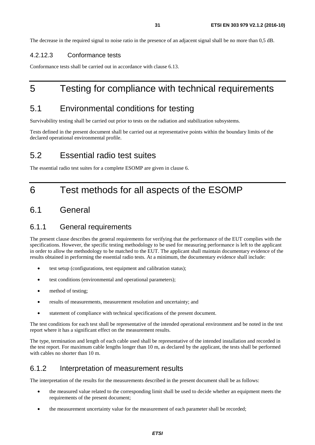<span id="page-30-0"></span>The decrease in the required signal to noise ratio in the presence of an adjacent signal shall be no more than 0,5 dB.

### 4.2.12.3 Conformance tests

Conformance tests shall be carried out in accordance with clause 6.13.

# 5 Testing for compliance with technical requirements

## 5.1 Environmental conditions for testing

Survivability testing shall be carried out prior to tests on the radiation and stabilization subsystems.

Tests defined in the present document shall be carried out at representative points within the boundary limits of the declared operational environmental profile.

## 5.2 Essential radio test suites

The essential radio test suites for a complete ESOMP are given in clause 6.

# 6 Test methods for all aspects of the ESOMP

### 6.1 General

### 6.1.1 General requirements

The present clause describes the general requirements for verifying that the performance of the EUT complies with the specifications. However, the specific testing methodology to be used for measuring performance is left to the applicant in order to allow the methodology to be matched to the EUT. The applicant shall maintain documentary evidence of the results obtained in performing the essential radio tests. At a minimum, the documentary evidence shall include:

- test setup (configurations, test equipment and calibration status);
- test conditions (environmental and operational parameters);
- method of testing;
- results of measurements, measurement resolution and uncertainty; and
- statement of compliance with technical specifications of the present document.

The test conditions for each test shall be representative of the intended operational environment and be noted in the test report where it has a significant effect on the measurement results.

The type, termination and length of each cable used shall be representative of the intended installation and recorded in the test report. For maximum cable lengths longer than 10 m, as declared by the applicant, the tests shall be performed with cables no shorter than 10 m.

### 6.1.2 Interpretation of measurement results

The interpretation of the results for the measurements described in the present document shall be as follows:

- the measured value related to the corresponding limit shall be used to decide whether an equipment meets the requirements of the present document;
- the measurement uncertainty value for the measurement of each parameter shall be recorded;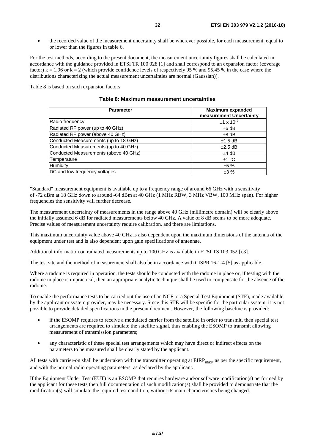• the recorded value of the measurement uncertainty shall be wherever possible, for each measurement, equal to or lower than the figures in table 6.

For the test methods, according to the present document, the measurement uncertainty figures shall be calculated in accordance with the guidance provided in ETSI TR 100 028 [\[1](#page-9-0)] and shall correspond to an expansion factor (coverage factor)  $k = 1.96$  or  $k = 2$  (which provide confidence levels of respectively 95 % and 95.45 % in the case where the distributions characterizing the actual measurement uncertainties are normal (Gaussian)).

Table 8 is based on such expansion factors.

| Table 8: Maximum measurement uncertainties |  |
|--------------------------------------------|--|
|                                            |  |

| <b>Parameter</b>                      | <b>Maximum expanded</b><br>measurement Uncertainty |
|---------------------------------------|----------------------------------------------------|
| Radio frequency                       | $±1 \times 10^{-7}$                                |
| Radiated RF power (up to 40 GHz)      | $±6$ dB                                            |
| Radiated RF power (above 40 GHz)      | $\pm 8$ dB                                         |
| Conducted Measurements (up to 18 GHz) | $±1.5$ dB                                          |
| Conducted Measurements (up to 40 GHz) | $\pm 2.5$ dB                                       |
| Conducted Measurements (above 40 GHz) | $±4$ dB                                            |
| Temperature                           | ±1 °C                                              |
| Humidity                              | ±5%                                                |
| DC and low frequency voltages         | $\pm 3\%$                                          |

"Standard" measurement equipment is available up to a frequency range of around 66 GHz with a sensitivity of -72 dBm at 18 GHz down to around -64 dBm at 40 GHz (1 MHz RBW, 3 MHz VBW, 100 MHz span). For higher frequencies the sensitivity will further decrease.

The measurement uncertainty of measurements in the range above 40 GHz (millimetre domain) will be clearly above the initially assumed 6 dB for radiated measurements below 40 GHz. A value of 8 dB seems to be more adequate. Precise values of measurement uncertainty require calibration, and there are limitations.

This maximum uncertainty value above 40 GHz is also dependent upon the maximum dimensions of the antenna of the equipment under test and is also dependent upon gain specifications of antennae.

Additional information on radiated measurements up to 100 GHz is available in ETSI TS 103 052 [\[i.3\]](#page-10-0).

The test site and the method of measurement shall also be in accordance with CISPR 16-1-4 [\[5](#page-9-0)] as applicable.

Where a radome is required in operation, the tests should be conducted with the radome in place or, if testing with the radome in place is impractical, then an appropriate analytic technique shall be used to compensate for the absence of the radome.

To enable the performance tests to be carried out the use of an NCF or a Special Test Equipment (STE), made available by the applicant or system provider, may be necessary. Since this STE will be specific for the particular system, it is not possible to provide detailed specifications in the present document. However, the following baseline is provided:

- if the ESOMP requires to receive a modulated carrier from the satellite in order to transmit, then special test arrangements are required to simulate the satellite signal, thus enabling the ESOMP to transmit allowing measurement of transmission parameters;
- any characteristic of these special test arrangements which may have direct or indirect effects on the parameters to be measured shall be clearly stated by the applicant.

All tests with carrier-on shall be undertaken with the transmitter operating at  $EIRP<sub>max</sub>$ , as per the specific requirement, and with the normal radio operating parameters, as declared by the applicant.

If the Equipment Under Test (EUT) is an ESOMP that requires hardware and/or software modification(s) performed by the applicant for these tests then full documentation of such modification(s) shall be provided to demonstrate that the modification(s) will simulate the required test condition, without its main characteristics being changed.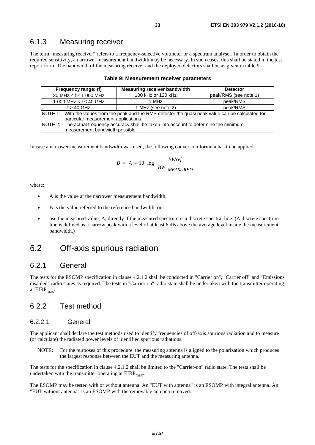### <span id="page-32-0"></span>6.1.3 Measuring receiver

The term "measuring receiver" refers to a frequency-selective voltmeter or a spectrum analyser. In order to obtain the required sensitivity, a narrower measurement bandwidth may be necessary. In such cases, this shall be stated in the test report form. The bandwidth of the measuring receiver and the deployed detectors shall be as given in table 9.

| Frequency range: (f)                                                                                  | Measuring receiver bandwidth | <b>Detector</b>       |  |  |  |
|-------------------------------------------------------------------------------------------------------|------------------------------|-----------------------|--|--|--|
| 30 MHz $\leq$ f $\leq$ 1 000 MHz                                                                      | 100 kHz or 120 kHz           | peak/RMS (see note 1) |  |  |  |
| 1 000 MHz < $f \leq 40$ GHz                                                                           | 1 MHz                        | peak/RMS              |  |  |  |
| $f > 40$ GHz                                                                                          | 1 MHz (see note 2)           | peak/RMS              |  |  |  |
| NOTE 1: With the values from the peak and the RMS detector the quasi peak value can be calculated for |                              |                       |  |  |  |
| particular measurement applications.                                                                  |                              |                       |  |  |  |
| NOTE 2: The actual frequency accuracy shall be taken into account to determine the minimum            |                              |                       |  |  |  |
| measurement bandwidth possible.                                                                       |                              |                       |  |  |  |

#### **Table 9: Measurement receiver parameters**

In case a narrower measurement bandwidth was used, the following conversion formula has to be applied:

$$
B = A + 10 \log \frac{BWref}{BW \text{ MEASURED}}
$$

where:

- A is the value at the narrower measurement bandwidth;
- B is the value referred to the reference bandwidth; or
- use the measured value, A, directly if the measured spectrum is a discrete spectral line. (A discrete spectrum line is defined as a narrow peak with a level of at least 6 dB above the average level inside the measurement bandwidth.)

# 6.2 Off-axis spurious radiation

### 6.2.1 General

The tests for the ESOMP specification in clause 4.2.1.2 shall be conducted in "Carrier on", "Carrier off" and "Emissions disabled" radio states as required. The tests in "Carrier on" radio state shall be undertaken with the transmitter operating at  $EIRP<sub>max</sub>$ .

### 6.2.2 Test method

### 6.2.2.1 General

The applicant shall declare the test methods used to identify frequencies of off-axis spurious radiation and to measure (or calculate) the radiated power levels of identified spurious radiations.

NOTE: For the purposes of this procedure, the measuring antenna is aligned to the polarization which produces the largest response between the EUT and the measuring antenna.

The tests for the specification in clause 4.2.1.2 shall be limited to the "Carrier-on" radio state. The tests shall be undertaken with the transmitter operating at  $EIRP<sub>max</sub>$ .

The ESOMP may be tested with or without antenna. An "EUT with antenna" is an ESOMP with integral antenna. An "EUT without antenna" is an ESOMP with the removable antenna removed.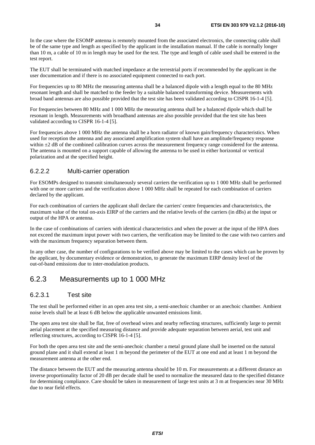<span id="page-33-0"></span>In the case where the ESOMP antenna is remotely mounted from the associated electronics, the connecting cable shall be of the same type and length as specified by the applicant in the installation manual. If the cable is normally longer than 10 m, a cable of 10 m in length may be used for the test. The type and length of cable used shall be entered in the test report.

The EUT shall be terminated with matched impedance at the terrestrial ports if recommended by the applicant in the user documentation and if there is no associated equipment connected to each port.

For frequencies up to 80 MHz the measuring antenna shall be a balanced dipole with a length equal to the 80 MHz resonant length and shall be matched to the feeder by a suitable balanced transforming device. Measurements with broad band antennas are also possible provided that the test site has been validated according to CISPR 16-1-4 [\[5](#page-9-0)].

For frequencies between 80 MHz and 1 000 MHz the measuring antenna shall be a balanced dipole which shall be resonant in length. Measurements with broadband antennas are also possible provided that the test site has been validated according to CISPR 16-1-4 [[5\]](#page-9-0).

For frequencies above 1 000 MHz the antenna shall be a horn radiator of known gain/frequency characteristics. When used for reception the antenna and any associated amplification system shall have an amplitude/frequency response within  $\pm 2$  dB of the combined calibration curves across the measurement frequency range considered for the antenna. The antenna is mounted on a support capable of allowing the antenna to be used in either horizontal or vertical polarization and at the specified height.

### 6.2.2.2 Multi-carrier operation

For ESOMPs designed to transmit simultaneously several carriers the verification up to 1 000 MHz shall be performed with one or more carriers and the verification above 1 000 MHz shall be repeated for each combination of carriers declared by the applicant.

For each combination of carriers the applicant shall declare the carriers' centre frequencies and characteristics, the maximum value of the total on-axis EIRP of the carriers and the relative levels of the carriers (in dBs) at the input or output of the HPA or antenna.

In the case of combinations of carriers with identical characteristics and when the power at the input of the HPA does not exceed the maximum input power with two carriers, the verification may be limited to the case with two carriers and with the maximum frequency separation between them.

In any other case, the number of configurations to be verified above may be limited to the cases which can be proven by the applicant, by documentary evidence or demonstration, to generate the maximum EIRP density level of the out-of-band emissions due to inter-modulation products.

### 6.2.3 Measurements up to 1 000 MHz

### 6.2.3.1 Test site

The test shall be performed either in an open area test site, a semi-anechoic chamber or an anechoic chamber. Ambient noise levels shall be at least 6 dB below the applicable unwanted emissions limit.

The open area test site shall be flat, free of overhead wires and nearby reflecting structures, sufficiently large to permit aerial placement at the specified measuring distance and provide adequate separation between aerial, test unit and reflecting structures, according to CISPR 16-1-4 [\[5](#page-9-0)].

For both the open area test site and the semi-anechoic chamber a metal ground plane shall be inserted on the natural ground plane and it shall extend at least 1 m beyond the perimeter of the EUT at one end and at least 1 m beyond the measurement antenna at the other end.

The distance between the EUT and the measuring antenna should be 10 m. For measurements at a different distance an inverse proportionality factor of 20 dB per decade shall be used to normalize the measured data to the specified distance for determining compliance. Care should be taken in measurement of large test units at 3 m at frequencies near 30 MHz due to near field effects.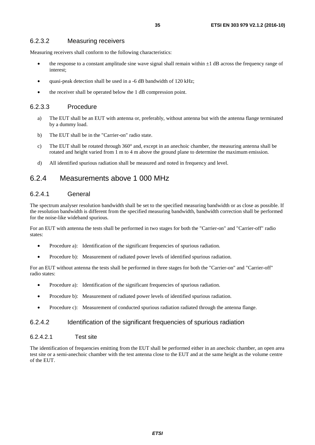### <span id="page-34-0"></span>6.2.3.2 Measuring receivers

Measuring receivers shall conform to the following characteristics:

- the response to a constant amplitude sine wave signal shall remain within  $\pm 1$  dB across the frequency range of interest;
- quasi-peak detection shall be used in a -6 dB bandwidth of 120 kHz;
- the receiver shall be operated below the 1 dB compression point.

### 6.2.3.3 Procedure

- a) The EUT shall be an EUT with antenna or, preferably, without antenna but with the antenna flange terminated by a dummy load.
- b) The EUT shall be in the "Carrier-on" radio state.
- c) The EUT shall be rotated through 360° and, except in an anechoic chamber, the measuring antenna shall be rotated and height varied from 1 m to 4 m above the ground plane to determine the maximum emission.
- d) All identified spurious radiation shall be measured and noted in frequency and level.

### 6.2.4 Measurements above 1 000 MHz

### 6.2.4.1 General

The spectrum analyser resolution bandwidth shall be set to the specified measuring bandwidth or as close as possible. If the resolution bandwidth is different from the specified measuring bandwidth, bandwidth correction shall be performed for the noise-like wideband spurious.

For an EUT with antenna the tests shall be performed in two stages for both the "Carrier-on" and "Carrier-off" radio states:

- Procedure a): Identification of the significant frequencies of spurious radiation.
- Procedure b): Measurement of radiated power levels of identified spurious radiation.

For an EUT without antenna the tests shall be performed in three stages for both the "Carrier-on" and "Carrier-off" radio states:

- Procedure a): Identification of the significant frequencies of spurious radiation.
- Procedure b): Measurement of radiated power levels of identified spurious radiation.
- Procedure c): Measurement of conducted spurious radiation radiated through the antenna flange.

### 6.2.4.2 Identification of the significant frequencies of spurious radiation

### 6.2.4.2.1 Test site

The identification of frequencies emitting from the EUT shall be performed either in an anechoic chamber, an open area test site or a semi-anechoic chamber with the test antenna close to the EUT and at the same height as the volume centre of the EUT.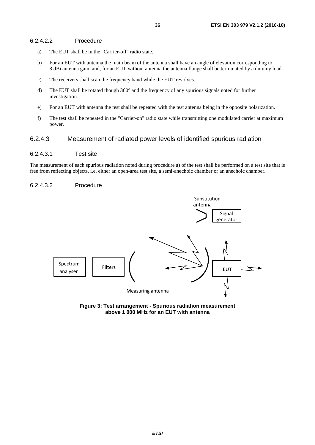### <span id="page-35-0"></span>6.2.4.2.2 Procedure

- a) The EUT shall be in the "Carrier-off" radio state.
- b) For an EUT with antenna the main beam of the antenna shall have an angle of elevation corresponding to 8 dBi antenna gain, and, for an EUT without antenna the antenna flange shall be terminated by a dummy load.
- c) The receivers shall scan the frequency band while the EUT revolves.
- d) The EUT shall be rotated though 360° and the frequency of any spurious signals noted for further investigation.
- e) For an EUT with antenna the test shall be repeated with the test antenna being in the opposite polarization.
- f) The test shall be repeated in the "Carrier-on" radio state while transmitting one modulated carrier at maximum power.

### 6.2.4.3 Measurement of radiated power levels of identified spurious radiation

### 6.2.4.3.1 Test site

The measurement of each spurious radiation noted during procedure a) of the test shall be performed on a test site that is free from reflecting objects, i.e. either an open-area test site, a semi-anechoic chamber or an anechoic chamber.

#### 6.2.4.3.2 Procedure



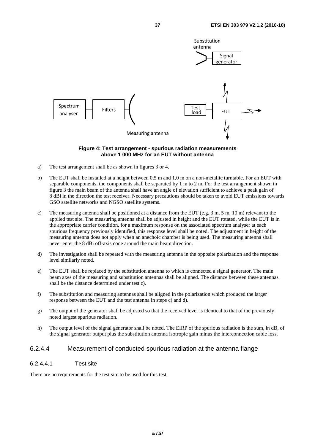<span id="page-36-0"></span>

#### **Figure 4: Test arrangement - spurious radiation measurements above 1 000 MHz for an EUT without antenna**

- a) The test arrangement shall be as shown in figures 3 or 4.
- b) The EUT shall be installed at a height between 0,5 m and 1,0 m on a non-metallic turntable. For an EUT with separable components, the components shall be separated by 1 m to 2 m. For the test arrangement shown in figure 3 the main beam of the antenna shall have an angle of elevation sufficient to achieve a peak gain of 8 dBi in the direction the test receiver. Necessary precautions should be taken to avoid EUT emissions towards GSO satellite networks and NGSO satellite systems.
- c) The measuring antenna shall be positioned at a distance from the EUT (e.g. 3 m, 5 m, 10 m) relevant to the applied test site. The measuring antenna shall be adjusted in height and the EUT rotated, while the EUT is in the appropriate carrier condition, for a maximum response on the associated spectrum analyser at each spurious frequency previously identified, this response level shall be noted. The adjustment in height of the measuring antenna does not apply when an anechoic chamber is being used. The measuring antenna shall never enter the 8 dBi off-axis cone around the main beam direction.
- d) The investigation shall be repeated with the measuring antenna in the opposite polarization and the response level similarly noted.
- e) The EUT shall be replaced by the substitution antenna to which is connected a signal generator. The main beam axes of the measuring and substitution antennas shall be aligned. The distance between these antennas shall be the distance determined under test c).
- f) The substitution and measuring antennas shall be aligned in the polarization which produced the larger response between the EUT and the test antenna in steps c) and d).
- g) The output of the generator shall be adjusted so that the received level is identical to that of the previously noted largest spurious radiation.
- h) The output level of the signal generator shall be noted. The EIRP of the spurious radiation is the sum, in dB, of the signal generator output plus the substitution antenna isotropic gain minus the interconnection cable loss.

### 6.2.4.4 Measurement of conducted spurious radiation at the antenna flange

#### 6.2.4.4.1 Test site

There are no requirements for the test site to be used for this test.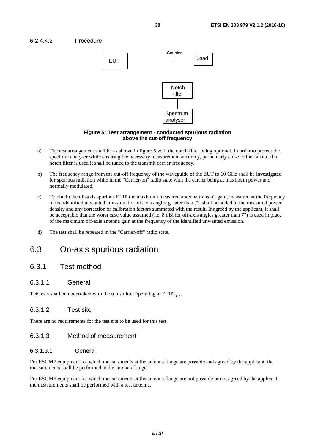### <span id="page-37-0"></span>6.2.4.4.2 Procedure



#### **Figure 5: Test arrangement - conducted spurious radiation above the cut-off frequency**

- a) The test arrangement shall be as shown in figure 5 with the notch filter being optional. In order to protect the spectrum analyser while ensuring the necessary measurement accuracy, particularly close to the carrier, if a notch filter is used it shall be tuned to the transmit carrier frequency.
- b) The frequency range from the cut-off frequency of the waveguide of the EUT to 60 GHz shall be investigated for spurious radiation while in the "Carrier-on" radio state with the carrier being at maximum power and normally modulated.
- c) To obtain the off-axis spurious EIRP the maximum measured antenna transmit gain, measured at the frequency of the identified unwanted emission, for off-axis angles greater than 7°, shall be added to the measured power density and any correction or calibration factors summated with the result. If agreed by the applicant, it shall be acceptable that the worst case value assumed (i.e. 8 dBi for off-axis angles greater than 7°) is used in place of the maximum off-axis antenna gain at the frequency of the identified unwanted emission.
- d) The test shall be repeated in the "Carrier-off" radio state.

# 6.3 On-axis spurious radiation

### 6.3.1 Test method

### 6.3.1.1 General

The tests shall be undertaken with the transmitter operating at  $EIRP<sub>max</sub>$ .

### 6.3.1.2 Test site

There are no requirements for the test site to be used for this test.

### 6.3.1.3 Method of measurement

### 6.3.1.3.1 General

For ESOMP equipment for which measurements at the antenna flange are possible and agreed by the applicant, the measurements shall be performed at the antenna flange.

For ESOMP equipment for which measurements at the antenna flange are not possible or not agreed by the applicant, the measurements shall be performed with a test antenna.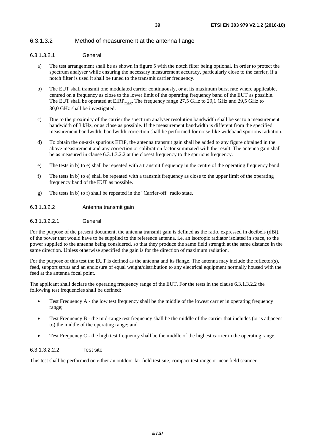### <span id="page-38-0"></span>6.3.1.3.2 Method of measurement at the antenna flange

#### 6.3.1.3.2.1 General

- a) The test arrangement shall be as shown in figure 5 with the notch filter being optional. In order to protect the spectrum analyser while ensuring the necessary measurement accuracy, particularly close to the carrier, if a notch filter is used it shall be tuned to the transmit carrier frequency.
- b) The EUT shall transmit one modulated carrier continuously, or at its maximum burst rate where applicable, centred on a frequency as close to the lower limit of the operating frequency band of the EUT as possible. The EUT shall be operated at  $EIRP<sub>max</sub>$ . The frequency range 27,5 GHz to 29,1 GHz and 29,5 GHz to 30,0 GHz shall be investigated.
- c) Due to the proximity of the carrier the spectrum analyser resolution bandwidth shall be set to a measurement bandwidth of 3 kHz, or as close as possible. If the measurement bandwidth is different from the specified measurement bandwidth, bandwidth correction shall be performed for noise-like wideband spurious radiation.
- d) To obtain the on-axis spurious EIRP, the antenna transmit gain shall be added to any figure obtained in the above measurement and any correction or calibration factor summated with the result. The antenna gain shall be as measured in clause 6.3.1.3.2.2 at the closest frequency to the spurious frequency.
- e) The tests in b) to e) shall be repeated with a transmit frequency in the centre of the operating frequency band.
- f) The tests in b) to e) shall be repeated with a transmit frequency as close to the upper limit of the operating frequency band of the EUT as possible.
- g) The tests in b) to f) shall be repeated in the "Carrier-off" radio state.

### 6.3.1.3.2.2 Antenna transmit gain

#### 6.3.1.3.2.2.1 General

For the purpose of the present document, the antenna transmit gain is defined as the ratio, expressed in decibels (dBi), of the power that would have to be supplied to the reference antenna, i.e. an isotropic radiator isolated in space, to the power supplied to the antenna being considered, so that they produce the same field strength at the same distance in the same direction. Unless otherwise specified the gain is for the direction of maximum radiation.

For the purpose of this test the EUT is defined as the antenna and its flange. The antenna may include the reflector(s), feed, support struts and an enclosure of equal weight/distribution to any electrical equipment normally housed with the feed at the antenna focal point.

The applicant shall declare the operating frequency range of the EUT. For the tests in the clause 6.3.1.3.2.2 the following test frequencies shall be defined:

- Test Frequency A the low test frequency shall be the middle of the lowest carrier in operating frequency range;
- Test Frequency B the mid-range test frequency shall be the middle of the carrier that includes (or is adjacent to) the middle of the operating range; and
- Test Frequency C the high test frequency shall be the middle of the highest carrier in the operating range.

#### 6.3.1.3.2.2.2 Test site

This test shall be performed on either an outdoor far-field test site, compact test range or near-field scanner.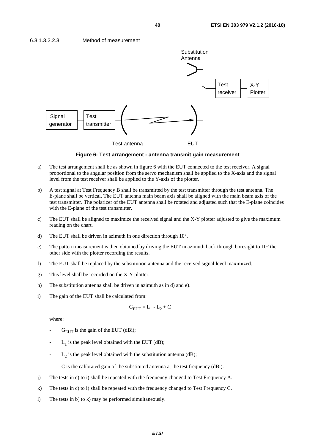

**Figure 6: Test arrangement - antenna transmit gain measurement** 

- a) The test arrangement shall be as shown in figure 6 with the EUT connected to the test receiver. A signal proportional to the angular position from the servo mechanism shall be applied to the X-axis and the signal level from the test receiver shall be applied to the Y-axis of the plotter.
- b) A test signal at Test Frequency B shall be transmitted by the test transmitter through the test antenna. The E-plane shall be vertical. The EUT antenna main beam axis shall be aligned with the main beam axis of the test transmitter. The polarizer of the EUT antenna shall be rotated and adjusted such that the E-plane coincides with the E-plane of the test transmitter.
- c) The EUT shall be aligned to maximize the received signal and the X-Y plotter adjusted to give the maximum reading on the chart.
- d) The EUT shall be driven in azimuth in one direction through 10°.
- e) The pattern measurement is then obtained by driving the EUT in azimuth back through boresight to 10° the other side with the plotter recording the results.
- f) The EUT shall be replaced by the substitution antenna and the received signal level maximized.
- g) This level shall be recorded on the X-Y plotter.
- h) The substitution antenna shall be driven in azimuth as in d) and e).
- i) The gain of the EUT shall be calculated from:

$$
G_{EUT} = L_1 - L_2 + C
$$

where:

- $G<sub>FIT</sub>$  is the gain of the EUT (dBi);
- $L_1$  is the peak level obtained with the EUT (dB);
- $L<sub>2</sub>$  is the peak level obtained with the substitution antenna (dB);
- C is the calibrated gain of the substituted antenna at the test frequency (dBi).
- j) The tests in c) to i) shall be repeated with the frequency changed to Test Frequency A.
- k) The tests in c) to i) shall be repeated with the frequency changed to Test Frequency C.
- l) The tests in b) to k) may be performed simultaneously.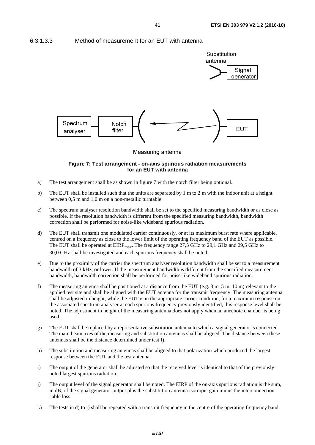<span id="page-40-0"></span>6.3.1.3.3 Method of measurement for an EUT with antenna



#### **Figure 7: Test arrangement - on-axis spurious radiation measurements for an EUT with antenna**

- a) The test arrangement shall be as shown in figure 7 with the notch filter being optional.
- b) The EUT shall be installed such that the units are separated by 1 m to 2 m with the indoor unit at a height between 0,5 m and 1,0 m on a non-metallic turntable.
- c) The spectrum analyser resolution bandwidth shall be set to the specified measuring bandwidth or as close as possible. If the resolution bandwidth is different from the specified measuring bandwidth, bandwidth correction shall be performed for noise-like wideband spurious radiation.
- d) The EUT shall transmit one modulated carrier continuously, or at its maximum burst rate where applicable, centred on a frequency as close to the lower limit of the operating frequency band of the EUT as possible. The EUT shall be operated at  $EIRP<sub>max</sub>$ . The frequency range 27,5 GHz to 29,1 GHz and 29,5 GHz to 30,0 GHz shall be investigated and each spurious frequency shall be noted.
- e) Due to the proximity of the carrier the spectrum analyser resolution bandwidth shall be set to a measurement bandwidth of 3 kHz, or lower. If the measurement bandwidth is different from the specified measurement bandwidth, bandwidth correction shall be performed for noise-like wideband spurious radiation.
- f) The measuring antenna shall be positioned at a distance from the EUT (e.g. 3 m, 5 m, 10 m) relevant to the applied test site and shall be aligned with the EUT antenna for the transmit frequency. The measuring antenna shall be adjusted in height, while the EUT is in the appropriate carrier condition, for a maximum response on the associated spectrum analyser at each spurious frequency previously identified, this response level shall be noted. The adjustment in height of the measuring antenna does not apply when an anechoic chamber is being used.
- g) The EUT shall be replaced by a representative substitution antenna to which a signal generator is connected. The main beam axes of the measuring and substitution antennas shall be aligned. The distance between these antennas shall be the distance determined under test f).
- h) The substitution and measuring antennas shall be aligned to that polarization which produced the largest response between the EUT and the test antenna.
- i) The output of the generator shall be adjusted so that the received level is identical to that of the previously noted largest spurious radiation.
- j) The output level of the signal generator shall be noted. The EIRP of the on-axis spurious radiation is the sum, in dB, of the signal generator output plus the substitution antenna isotropic gain minus the interconnection cable loss.
- k) The tests in d) to j) shall be repeated with a transmit frequency in the centre of the operating frequency band.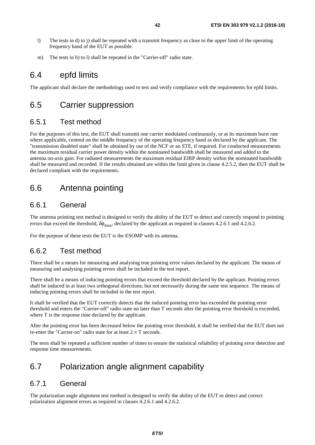- <span id="page-41-0"></span>l) The tests in d) to j) shall be repeated with a transmit frequency as close to the upper limit of the operating frequency band of the EUT as possible.
- m) The tests in b) to l) shall be repeated in the "Carrier-off" radio state.

## 6.4 epfd limits

The applicant shall declare the methodology used to test and verify compliance with the requirements for epfd limits.

## 6.5 Carrier suppression

### 6.5.1 Test method

For the purposes of this test, the EUT shall transmit one carrier modulated continuously, or at its maximum burst rate where applicable, centred on the middle frequency of the operating frequency band as declared by the applicant. The "transmission disabled state" shall be obtained by use of the NCF or an STE, if required. For conducted measurements the maximum residual carrier power density within the nominated bandwidth shall be measured and added to the antenna on-axis gain. For radiated measurements the maximum residual EIRP density within the nominated bandwidth shall be measured and recorded. If the results obtained are within the limit given in clause 4.2.5.2, then the EUT shall be declared compliant with the requirements.

# 6.6 Antenna pointing

### 6.6.1 General

The antenna pointing test method is designed to verify the ability of the EUT to detect and correctly respond to pointing errors that exceed the threshold,  $\delta\phi_{\rm max}$ , declared by the applicant as required in clauses 4.2.6.1 and 4.2.6.2.

For the purpose of these tests the EUT is the ESOMP with its antenna.

### 6.6.2 Test method

There shall be a means for measuring and analysing true pointing error values declared by the applicant. The means of measuring and analysing pointing errors shall be included in the test report.

There shall be a means of inducing pointing errors that exceed the threshold declared by the applicant. Pointing errors shall be induced in at least two orthogonal directions; but not necessarily during the same test sequence. The means of inducing pointing errors shall be included in the test report.

It shall be verified that the EUT correctly detects that the induced pointing error has exceeded the pointing error threshold and enters the "Carrier-off" radio state no later than T seconds after the pointing error threshold is exceeded, where T is the response time declared by the applicant.

After the pointing error has been decreased below the pointing error threshold, it shall be verified that the EUT does not re-enter the "Carrier-on" radio state for at least  $2 \times T$  seconds.

The tests shall be repeated a sufficient number of times to ensure the statistical reliability of pointing error detection and response time measurements.

# 6.7 Polarization angle alignment capability

### 6.7.1 General

The polarization angle alignment test method is designed to verify the ability of the EUT to detect and correct polarization alignment errors as required in clauses 4.2.6.1 and 4.2.6.2.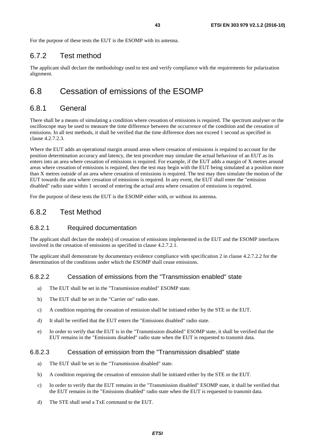<span id="page-42-0"></span>For the purpose of these tests the EUT is the ESOMP with its antenna.

### 6.7.2 Test method

The applicant shall declare the methodology used to test and verify compliance with the requirements for polarization alignment.

# 6.8 Cessation of emissions of the ESOMP

### 6.8.1 General

There shall be a means of simulating a condition where cessation of emissions is required. The spectrum analyser or the oscilloscope may be used to measure the time difference between the occurrence of the condition and the cessation of emissions. In all test methods, it shall be verified that the time difference does not exceed 1 second as specified in clause 4.2.7.2.3.

Where the EUT adds an operational margin around areas where cessation of emissions is required to account for the position determination accuracy and latency, the test procedure may simulate the actual behaviour of an EUT as its enters into an area where cessation of emissions is required. For example, if the EUT adds a margin of X metres around areas where cessation of emissions is required, then the test may begin with the EUT being simulated at a position more than X metres outside of an area where cessation of emissions is required. The test may then simulate the motion of the EUT towards the area where cessation of emissions is required. In any event, the EUT shall enter the "emission disabled" radio state within 1 second of entering the actual area where cessation of emissions is required.

For the purpose of these tests the EUT is the ESOMP either with, or without its antenna.

### 6.8.2 Test Method

### 6.8.2.1 Required documentation

The applicant shall declare the mode(s) of cessation of emissions implemented in the EUT and the ESOMP interfaces involved in the cessation of emissions as specified in clause 4.2.7.2.1.

The applicant shall demonstrate by documentary evidence compliance with specification 2 in clause 4.2.7.2.2 for the determination of the conditions under which the ESOMP shall cease emissions.

### 6.8.2.2 Cessation of emissions from the "Transmission enabled" state

- a) The EUT shall be set in the "Transmission enabled" ESOMP state.
- b) The EUT shall be set in the "Carrier on" radio state.
- c) A condition requiring the cessation of emission shall be initiated either by the STE or the EUT.
- d) It shall be verified that the EUT enters the "Emissions disabled" radio state.
- e) In order to verify that the EUT is in the "Transmission disabled" ESOMP state, it shall be verified that the EUT remains in the "Emissions disabled" radio state when the EUT is requested to transmit data.

### 6.8.2.3 Cessation of emission from the "Transmission disabled" state

- a) The EUT shall be set in the "Transmission disabled" state.
- b) A condition requiring the cessation of emission shall be initiated either by the STE or the EUT.
- c) In order to verify that the EUT remains in the "Transmission disabled" ESOMP state, it shall be verified that the EUT remains in the "Emissions disabled" radio state when the EUT is requested to transmit data.
- d) The STE shall send a TxE command to the EUT.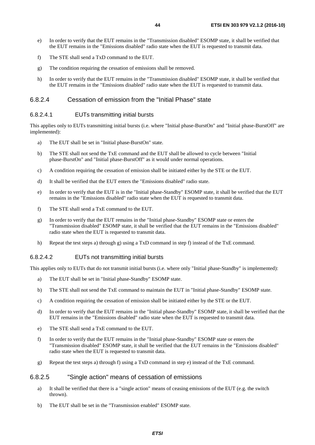- <span id="page-43-0"></span>e) In order to verify that the EUT remains in the "Transmission disabled" ESOMP state, it shall be verified that the EUT remains in the "Emissions disabled" radio state when the EUT is requested to transmit data.
- f) The STE shall send a TxD command to the EUT.
- g) The condition requiring the cessation of emissions shall be removed.
- h) In order to verify that the EUT remains in the "Transmission disabled" ESOMP state, it shall be verified that the EUT remains in the "Emissions disabled" radio state when the EUT is requested to transmit data.

### 6.8.2.4 Cessation of emission from the "Initial Phase" state

### 6.8.2.4.1 EUTs transmitting initial bursts

This applies only to EUTs transmitting initial bursts (i.e. where "Initial phase-BurstOn" and "Initial phase-BurstOff" are implemented):

- a) The EUT shall be set in "Initial phase-BurstOn" state.
- b) The STE shall not send the TxE command and the EUT shall be allowed to cycle between "Initial phase-BurstOn" and "Initial phase-BurstOff" as it would under normal operations.
- c) A condition requiring the cessation of emission shall be initiated either by the STE or the EUT.
- d) It shall be verified that the EUT enters the "Emissions disabled" radio state.
- e) In order to verify that the EUT is in the "Initial phase-Standby" ESOMP state, it shall be verified that the EUT remains in the "Emissions disabled" radio state when the EUT is requested to transmit data.
- f) The STE shall send a TxE command to the EUT.
- g) In order to verify that the EUT remains in the "Initial phase-Standby" ESOMP state or enters the "Transmission disabled" ESOMP state, it shall be verified that the EUT remains in the "Emissions disabled" radio state when the EUT is requested to transmit data.
- h) Repeat the test steps a) through g) using a TxD command in step f) instead of the TxE command.

#### 6.8.2.4.2 EUTs not transmitting initial bursts

This applies only to EUTs that do not transmit initial bursts (i.e. where only "Initial phase-Standby" is implemented):

- a) The EUT shall be set in "Initial phase-Standby" ESOMP state.
- b) The STE shall not send the TxE command to maintain the EUT in "Initial phase-Standby" ESOMP state.
- c) A condition requiring the cessation of emission shall be initiated either by the STE or the EUT.
- d) In order to verify that the EUT remains in the "Initial phase-Standby" ESOMP state, it shall be verified that the EUT remains in the "Emissions disabled" radio state when the EUT is requested to transmit data.
- e) The STE shall send a TxE command to the EUT.
- f) In order to verify that the EUT remains in the "Initial phase-Standby" ESOMP state or enters the "Transmission disabled" ESOMP state, it shall be verified that the EUT remains in the "Emissions disabled" radio state when the EUT is requested to transmit data.
- g) Repeat the test steps a) through f) using a TxD command in step e) instead of the TxE command.

### 6.8.2.5 "Single action" means of cessation of emissions

- a) It shall be verified that there is a "single action" means of ceasing emissions of the EUT (e.g. the switch thrown).
- b) The EUT shall be set in the "Transmission enabled" ESOMP state.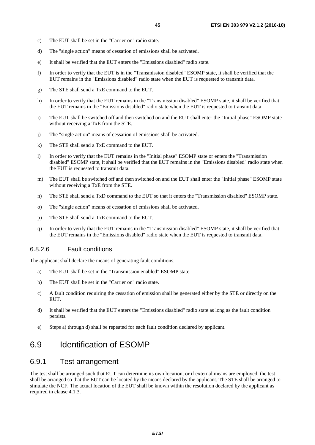- <span id="page-44-0"></span>c) The EUT shall be set in the "Carrier on" radio state.
- d) The "single action" means of cessation of emissions shall be activated.
- e) It shall be verified that the EUT enters the "Emissions disabled" radio state.
- f) In order to verify that the EUT is in the "Transmission disabled" ESOMP state, it shall be verified that the EUT remains in the "Emissions disabled" radio state when the EUT is requested to transmit data.
- g) The STE shall send a TxE command to the EUT.
- h) In order to verify that the EUT remains in the "Transmission disabled" ESOMP state, it shall be verified that the EUT remains in the "Emissions disabled" radio state when the EUT is requested to transmit data.
- i) The EUT shall be switched off and then switched on and the EUT shall enter the "Initial phase" ESOMP state without receiving a TxE from the STE.
- j) The "single action" means of cessation of emissions shall be activated.
- k) The STE shall send a TxE command to the EUT.
- l) In order to verify that the EUT remains in the "Initial phase" ESOMP state or enters the "Transmission disabled" ESOMP state, it shall be verified that the EUT remains in the "Emissions disabled" radio state when the EUT is requested to transmit data.
- m) The EUT shall be switched off and then switched on and the EUT shall enter the "Initial phase" ESOMP state without receiving a TxE from the STE.
- n) The STE shall send a TxD command to the EUT so that it enters the "Transmission disabled" ESOMP state.
- o) The "single action" means of cessation of emissions shall be activated.
- p) The STE shall send a TxE command to the EUT.
- q) In order to verify that the EUT remains in the "Transmission disabled" ESOMP state, it shall be verified that the EUT remains in the "Emissions disabled" radio state when the EUT is requested to transmit data.

#### 6.8.2.6 Fault conditions

The applicant shall declare the means of generating fault conditions.

- a) The EUT shall be set in the "Transmission enabled" ESOMP state.
- b) The EUT shall be set in the "Carrier on" radio state.
- c) A fault condition requiring the cessation of emission shall be generated either by the STE or directly on the EUT.
- d) It shall be verified that the EUT enters the "Emissions disabled" radio state as long as the fault condition persists.
- e) Steps a) through d) shall be repeated for each fault condition declared by applicant.

## 6.9 Identification of ESOMP

### 6.9.1 Test arrangement

The test shall be arranged such that EUT can determine its own location, or if external means are employed, the test shall be arranged so that the EUT can be located by the means declared by the applicant. The STE shall be arranged to simulate the NCF. The actual location of the EUT shall be known within the resolution declared by the applicant as required in clause 4.1.3.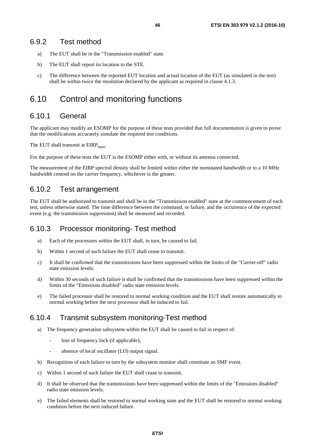- <span id="page-45-0"></span>a) The EUT shall be in the "Transmission enabled" state.
- b) The EUT shall report its location to the STE.
- c) The difference between the reported EUT location and actual location of the EUT (as simulated in the test) shall be within twice the resolution declared by the applicant as required in clause 4.1.3.

# 6.10 Control and monitoring functions

### 6.10.1 General

The applicant may modify an ESOMP for the purpose of these tests provided that full documentation is given to prove that the modifications accurately simulate the required test conditions.

The EUT shall transmit at  $EIRP<sub>max</sub>$ .

For the purpose of these tests the EUT is the ESOMP either with, or without its antenna connected.

The measurement of the EIRP spectral density shall be limited within either the nominated bandwidth or to a 10 MHz bandwidth centred on the carrier frequency, whichever is the greater.

### 6.10.2 Test arrangement

The EUT shall be authorized to transmit and shall be in the "Transmission enabled" state at the commencement of each test, unless otherwise stated. The time difference between the command, or failure, and the occurrence of the expected event (e.g. the transmission suppression) shall be measured and recorded.

### 6.10.3 Processor monitoring- Test method

- a) Each of the processors within the EUT shall, in turn, be caused to fail.
- b) Within 1 second of such failure the EUT shall cease to transmit.
- c) It shall be confirmed that the transmissions have been suppressed within the limits of the "Carrier-off" radio state emission levels.
- d) Within 30 seconds of such failure it shall be confirmed that the transmissions have been suppressed within the limits of the "Emissions disabled" radio state emission levels.
- e) The failed processor shall be restored to normal working condition and the EUT shall restore automatically to normal working before the next processor shall be induced to fail.

### 6.10.4 Transmit subsystem monitoring-Test method

- a) The frequency generation subsystem within the EUT shall be caused to fail in respect of:
	- loss of frequency lock (if applicable);
	- absence of local oscillator (LO) output signal.
- b) Recognition of each failure in turn by the subsystem monitor shall constitute an SMF event.
- c) Within 1 second of such failure the EUT shall cease to transmit.
- d) It shall be observed that the transmissions have been suppressed within the limits of the "Emissions disabled" radio state emission levels.
- e) The failed elements shall be restored to normal working state and the EUT shall be restored to normal working condition before the next induced failure.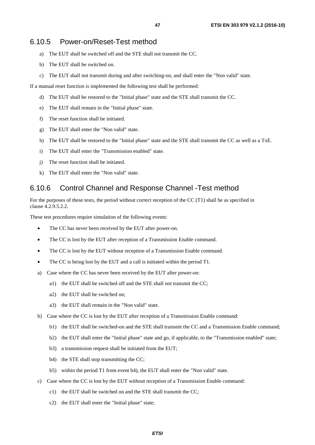- <span id="page-46-0"></span>a) The EUT shall be switched off and the STE shall not transmit the CC.
- b) The EUT shall be switched on.
- c) The EUT shall not transmit during and after switching-on, and shall enter the "Non valid" state.

If a manual reset function is implemented the following test shall be performed:

- d) The EUT shall be restored to the "Initial phase" state and the STE shall transmit the CC.
- e) The EUT shall remain in the "Initial phase" state.
- f) The reset function shall be initiated.
- g) The EUT shall enter the "Non valid" state.
- h) The EUT shall be restored to the "Initial phase" state and the STE shall transmit the CC as well as a TxE.
- i) The EUT shall enter the "Transmission enabled" state.
- j) The reset function shall be initiated.
- k) The EUT shall enter the "Non valid" state.

### 6.10.6 Control Channel and Response Channel -Test method

For the purposes of these tests, the period without correct reception of the CC (T1) shall be as specified in clause 4.2.9.5.2.2.

These test procedures require simulation of the following events:

- The CC has never been received by the EUT after power-on.
- The CC is lost by the EUT after reception of a Transmission Enable command.
- The CC is lost by the EUT without reception of a Transmission Enable command.
- The CC is being lost by the EUT and a call is initiated within the period T1.
- a) Case where the CC has never been received by the EUT after power-on:
	- a1) the EUT shall be switched off and the STE shall not transmit the CC;
	- a2) the EUT shall be switched on;
	- a3) the EUT shall remain in the "Non valid" state.
- b) Case where the CC is lost by the EUT after reception of a Transmission Enable command:
	- b1) the EUT shall be switched-on and the STE shall transmit the CC and a Transmission Enable command;
	- b2) the EUT shall enter the "Initial phase" state and go, if applicable, to the "Transmission enabled" state;
	- b3) a transmission request shall be initiated from the EUT;
	- b4) the STE shall stop transmitting the CC;
	- b5) within the period T1 from event b4), the EUT shall enter the "Non valid" state.
- c) Case where the CC is lost by the EUT without reception of a Transmission Enable command:
	- c1) the EUT shall be switched on and the STE shall transmit the CC;
	- c2) the EUT shall enter the "Initial phase" state;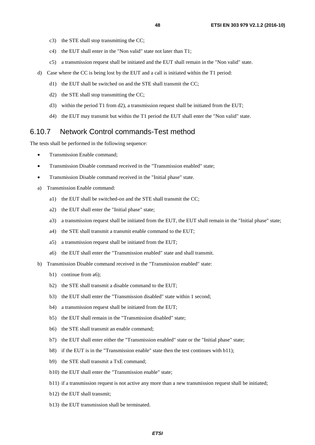- <span id="page-47-0"></span>c3) the STE shall stop transmitting the CC;
- c4) the EUT shall enter in the "Non valid" state not later than T1;
- c5) a transmission request shall be initiated and the EUT shall remain in the "Non valid" state.
- d) Case where the CC is being lost by the EUT and a call is initiated within the T1 period:
	- d1) the EUT shall be switched on and the STE shall transmit the CC;
	- d2) the STE shall stop transmitting the CC;
	- d3) within the period T1 from d2), a transmission request shall be initiated from the EUT;
	- d4) the EUT may transmit but within the T1 period the EUT shall enter the "Non valid" state.

### 6.10.7 Network Control commands-Test method

The tests shall be performed in the following sequence:

- Transmission Enable command;
- Transmission Disable command received in the "Transmission enabled" state:
- Transmission Disable command received in the "Initial phase" state.
- a) Transmission Enable command:
	- a1) the EUT shall be switched-on and the STE shall transmit the CC;
	- a2) the EUT shall enter the "Initial phase" state;
	- a3) a transmission request shall be initiated from the EUT, the EUT shall remain in the "Initial phase" state;
	- a4) the STE shall transmit a transmit enable command to the EUT;
	- a5) a transmission request shall be initiated from the EUT;
	- a6) the EUT shall enter the "Transmission enabled" state and shall transmit.
- b) Transmission Disable command received in the "Transmission enabled" state:
	- b1) continue from a6);
	- b2) the STE shall transmit a disable command to the EUT;
	- b3) the EUT shall enter the "Transmission disabled" state within 1 second;
	- b4) a transmission request shall be initiated from the EUT;
	- b5) the EUT shall remain in the "Transmission disabled" state;
	- b6) the STE shall transmit an enable command;
	- b7) the EUT shall enter either the "Transmission enabled" state or the "Initial phase" state;
	- b8) if the EUT is in the "Transmission enable" state then the test continues with b11);
	- b9) the STE shall transmit a TxE command;
	- b10) the EUT shall enter the "Transmission enable" state;
	- b11) if a transmission request is not active any more than a new transmission request shall be initiated;
	- b12) the EUT shall transmit;
	- b13) the EUT transmission shall be terminated.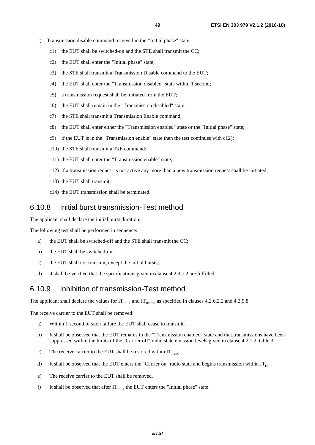- <span id="page-48-0"></span>c) Transmission disable command received in the "Initial phase" state:
	- c1) the EUT shall be switched-on and the STE shall transmit the CC;
	- c2) the EUT shall enter the "Initial phase" state;
	- c3) the STE shall transmit a Transmission Disable command to the EUT;
	- c4) the EUT shall enter the "Transmission disabled" state within 1 second;
	- c5) a transmission request shall be initiated from the EUT;
	- c6) the EUT shall remain in the "Transmission disabled" state;
	- c7) the STE shall transmit a Transmission Enable command;
	- c8) the EUT shall enter either the "Transmission enabled" state or the "Initial phase" state;
	- c9) if the EUT is in the "Transmission enable" state then the test continues with c12);
	- c10) the STE shall transmit a TxE command;
	- c11) the EUT shall enter the "Transmission enable" state;
	- c12) if a transmission request is not active any more than a new transmission request shall be initiated;
	- c13) the EUT shall transmit;
	- c14) the EUT transmission shall be terminated.

### 6.10.8 Initial burst transmission-Test method

The applicant shall declare the initial burst duration.

The following test shall be performed in sequence:

- a) the EUT shall be switched-off and the STE shall transmit the CC;
- b) the EUT shall be switched-on;
- c) the EUT shall not transmit, except the initial bursts;
- d) it shall be verified that the specifications given in clause 4.2.9.7.2 are fulfilled.

### 6.10.9 Inhibition of transmission-Test method

The applicant shall declare the values for  $IT_{max}$  and  $IT_{trans}$ , as specified in clauses 4.2.6.2.2 and 4.2.9.8.

The receive carrier to the EUT shall be removed:

- a) Within 1 second of such failure the EUT shall cease to transmit.
- b) It shall be observed that the EUT remains in the "Transmission enabled" state and that transmissions have been suppressed within the limits of the "Carrier off" radio state emission levels given in clause 4.2.1.2, table 3.
- c) The receive carrier to the EUT shall be restored within  $IT<sub>max</sub>$ .
- d) It shall be observed that the EUT enters the "Carrier on" radio state and begins transmission within  $IT<sub>trans</sub>$ .
- e) The receive carrier to the EUT shall be removed.
- f) It shall be observed that after  $IT_{max}$  the EUT enters the "Initial phase" state.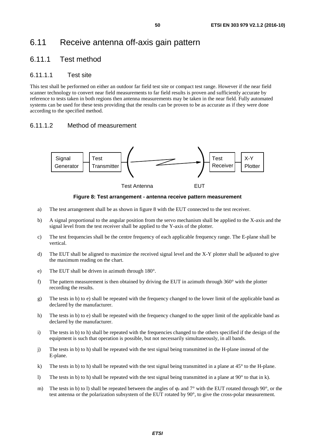# <span id="page-49-0"></span>6.11 Receive antenna off-axis gain pattern

### 6.11.1 Test method

### 6.11.1.1 Test site

This test shall be performed on either an outdoor far field test site or compact test range. However if the near field scanner technology to convert near field measurements to far field results is proven and sufficiently accurate by reference to tests taken in both regions then antenna measurements may be taken in the near field. Fully automated systems can be used for these tests providing that the results can be proven to be as accurate as if they were done according to the specified method.

### 6.11.1.2 Method of measurement



**Figure 8: Test arrangement - antenna receive pattern measurement** 

- a) The test arrangement shall be as shown in figure 8 with the EUT connected to the test receiver.
- b) A signal proportional to the angular position from the servo mechanism shall be applied to the X-axis and the signal level from the test receiver shall be applied to the Y-axis of the plotter.
- c) The test frequencies shall be the centre frequency of each applicable frequency range. The E-plane shall be vertical.
- d) The EUT shall be aligned to maximize the received signal level and the X-Y plotter shall be adjusted to give the maximum reading on the chart.
- e) The EUT shall be driven in azimuth through 180°.
- f) The pattern measurement is then obtained by driving the EUT in azimuth through  $360^\circ$  with the plotter recording the results.
- g) The tests in b) to e) shall be repeated with the frequency changed to the lower limit of the applicable band as declared by the manufacturer.
- h) The tests in b) to e) shall be repeated with the frequency changed to the upper limit of the applicable band as declared by the manufacturer.
- i) The tests in b) to h) shall be repeated with the frequencies changed to the others specified if the design of the equipment is such that operation is possible, but not necessarily simultaneously, in all bands.
- j) The tests in b) to h) shall be repeated with the test signal being transmitted in the H-plane instead of the E-plane.
- k) The tests in b) to h) shall be repeated with the test signal being transmitted in a plane at 45° to the H-plane.
- l) The tests in b) to h) shall be repeated with the test signal being transmitted in a plane at 90° to that in k).
- m) The tests in b) to l) shall be repeated between the angles of φ<sub>*r*</sub> and 7<sup>°</sup> with the EUT rotated through 90<sup>°</sup>, or the test antenna or the polarization subsystem of the EUT rotated by 90°, to give the cross-polar measurement.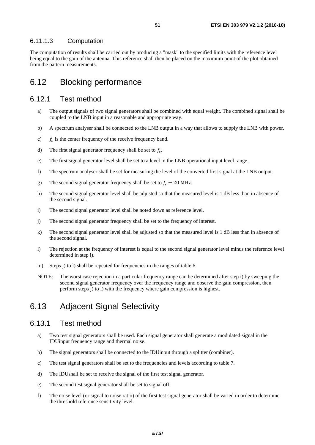### <span id="page-50-0"></span>6.11.1.3 Computation

The computation of results shall be carried out by producing a "mask" to the specified limits with the reference level being equal to the gain of the antenna. This reference shall then be placed on the maximum point of the plot obtained from the pattern measurements.

## 6.12 Blocking performance

### 6.12.1 Test method

- a) The output signals of two signal generators shall be combined with equal weight. The combined signal shall be coupled to the LNB input in a reasonable and appropriate way.
- b) A spectrum analyser shall be connected to the LNB output in a way that allows to supply the LNB with power.
- c)  $f_c$  is the center frequency of the receive frequency band.
- d) The first signal generator frequency shall be set to  $f_c$ .
- e) The first signal generator level shall be set to a level in the LNB operational input level range.
- f) The spectrum analyser shall be set for measuring the level of the converted first signal at the LNB output.
- g) The second signal generator frequency shall be set to  $f_c 20$  MHz.
- h) The second signal generator level shall be adjusted so that the measured level is 1 dB less than in absence of the second signal.
- i) The second signal generator level shall be noted down as reference level.
- j) The second signal generator frequency shall be set to the frequency of interest.
- k) The second signal generator level shall be adjusted so that the measured level is 1 dB less than in absence of the second signal.
- l) The rejection at the frequency of interest is equal to the second signal generator level minus the reference level determined in step i).
- m) Steps i) to l) shall be repeated for frequencies in the ranges of table 6.
- NOTE: The worst case rejection in a particular frequency range can be determined after step i) by sweeping the second signal generator frequency over the frequency range and observe the gain compression, then perform steps j) to l) with the frequency where gain compression is highest.

## 6.13 Adjacent Signal Selectivity

### 6.13.1 Test method

- a) Two test signal generators shall be used. Each signal generator shall generate a modulated signal in the IDUinput frequency range and thermal noise.
- b) The signal generators shall be connected to the IDUinput through a splitter (combiner).
- c) The test signal generators shall be set to the frequencies and levels according to table 7.
- d) The IDUshall be set to receive the signal of the first test signal generator.
- e) The second test signal generator shall be set to signal off.
- f) The noise level (or signal to noise ratio) of the first test signal generator shall be varied in order to determine the threshold reference sensitivity level.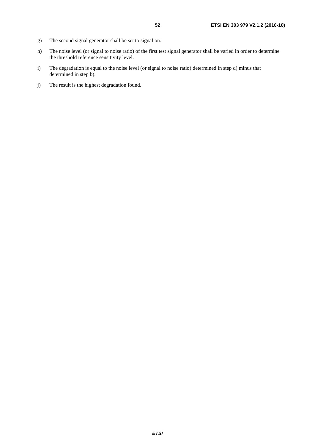- g) The second signal generator shall be set to signal on.
- h) The noise level (or signal to noise ratio) of the first test signal generator shall be varied in order to determine the threshold reference sensitivity level.
- i) The degradation is equal to the noise level (or signal to noise ratio) determined in step d) minus that determined in step b).
- j) The result is the highest degradation found.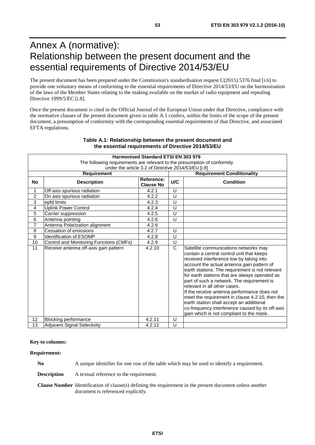# <span id="page-52-0"></span>Annex A (normative): Relationship between the present document and the essential requirements of Directive 2014/53/EU

The present document has been prepared under the Commission's standardisation request C(2015) 5376 final [\[i.6\]](#page-10-0) to provide one voluntary means of conforming to the essential requirements of Directive 2014/53/EU on the harmonisation of the laws of the Member States relating to the making available on the market of radio equipment and repealing Directive 1999/5/EC [\[i.8](#page-10-0)].

Once the present document is cited in the Official Journal of the European Union under that Directive, compliance with the normative clauses of the present document given in table A.1 confers, within the limits of the scope of the present document, a presumption of conformity with the corresponding essential requirements of that Directive, and associated EFTA regulations.

|                                                                          | <b>Harmonised Standard ETSI EN 303 979</b> |                                |        |                                                                                                                                                                                                                                                                                                                                                                                                                                                                                                                                                                                                               |  |  |
|--------------------------------------------------------------------------|--------------------------------------------|--------------------------------|--------|---------------------------------------------------------------------------------------------------------------------------------------------------------------------------------------------------------------------------------------------------------------------------------------------------------------------------------------------------------------------------------------------------------------------------------------------------------------------------------------------------------------------------------------------------------------------------------------------------------------|--|--|
| The following requirements are relevant to the presumption of conformity |                                            |                                |        |                                                                                                                                                                                                                                                                                                                                                                                                                                                                                                                                                                                                               |  |  |
| under the article 3.2 of Directive 2014/53/EU [i.8]                      |                                            |                                |        |                                                                                                                                                                                                                                                                                                                                                                                                                                                                                                                                                                                                               |  |  |
|                                                                          | <b>Requirement</b>                         |                                |        | <b>Requirement Conditionality</b>                                                                                                                                                                                                                                                                                                                                                                                                                                                                                                                                                                             |  |  |
| <b>No</b>                                                                | <b>Description</b>                         | Reference:<br><b>Clause No</b> | U/C    | <b>Condition</b>                                                                                                                                                                                                                                                                                                                                                                                                                                                                                                                                                                                              |  |  |
|                                                                          | Off axis spurious radiation                | 4.2.1                          | U      |                                                                                                                                                                                                                                                                                                                                                                                                                                                                                                                                                                                                               |  |  |
| $\overline{c}$                                                           | On axis spurious radiation                 | 4.2.2                          | U      |                                                                                                                                                                                                                                                                                                                                                                                                                                                                                                                                                                                                               |  |  |
| 3                                                                        | lepfd limits                               | 4.2.3                          | U      |                                                                                                                                                                                                                                                                                                                                                                                                                                                                                                                                                                                                               |  |  |
| $\overline{\mathbf{4}}$                                                  | <b>Uplink Power Control</b>                | 4.2.4                          | U      |                                                                                                                                                                                                                                                                                                                                                                                                                                                                                                                                                                                                               |  |  |
| 5                                                                        | Carrier suppression                        | 4.2.5                          | U      |                                                                                                                                                                                                                                                                                                                                                                                                                                                                                                                                                                                                               |  |  |
| 6                                                                        | Antenna pointing                           | 4.2.6                          | U      |                                                                                                                                                                                                                                                                                                                                                                                                                                                                                                                                                                                                               |  |  |
| $\overline{7}$                                                           | Antenna Polarization alignment             | 4.2.6                          |        |                                                                                                                                                                                                                                                                                                                                                                                                                                                                                                                                                                                                               |  |  |
| 8                                                                        | <b>Cessation of emissions</b>              | 4.2.7                          | $\cup$ |                                                                                                                                                                                                                                                                                                                                                                                                                                                                                                                                                                                                               |  |  |
| 9                                                                        | <b>Identification of ESOMP</b>             | 4.2.8                          | U      |                                                                                                                                                                                                                                                                                                                                                                                                                                                                                                                                                                                                               |  |  |
| 10                                                                       | Control and Monitoring Functions (CMFs)    | 4.2.9                          | U      |                                                                                                                                                                                                                                                                                                                                                                                                                                                                                                                                                                                                               |  |  |
| 11                                                                       | Receive antenna off-axis gain pattern      | 4.2.10                         | C      | Satellite communications networks may<br>contain a central control unit that keeps<br>received interference low by taking into<br>account the actual antenna gain pattern of<br>earth stations. The requirement is not relevant<br>for earth stations that are always operated as<br>part of such a network. The requirement is<br>relevant in all other cases.<br>If the receive antenna performance does not<br>meet the requirement in clause 4.2.10, then the<br>earth station shall accept an additional<br>co-frequency interference caused by its off-axis<br>gain which is not compliant to the mask. |  |  |
| 12                                                                       | <b>Blocking performance</b>                | 4.2.11                         | U      |                                                                                                                                                                                                                                                                                                                                                                                                                                                                                                                                                                                                               |  |  |
| 13                                                                       | <b>Adjacent Signal Selectivity</b>         | 4.2.12                         | U      |                                                                                                                                                                                                                                                                                                                                                                                                                                                                                                                                                                                                               |  |  |

#### **Table A.1: Relationship between the present document and the essential requirements of Directive 2014/53/EU**

**Key to columns:** 

**Requirement:** 

**No** A unique identifier for one row of the table which may be used to identify a requirement.

**Description** A textual reference to the requirement.

**Clause Number** Identification of clause(s) defining the requirement in the present document unless another document is referenced explicitly.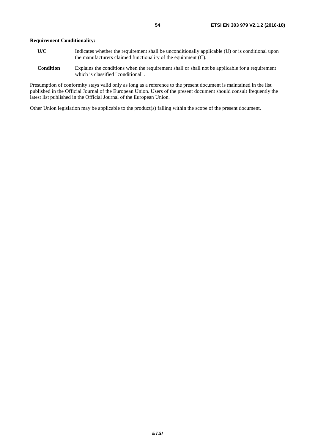### **Requirement Conditionality:**

- **U/C** Indicates whether the requirement shall be unconditionally applicable (U) or is conditional upon the manufacturers claimed functionality of the equipment (C).
- **Condition** Explains the conditions when the requirement shall or shall not be applicable for a requirement which is classified "conditional".

Presumption of conformity stays valid only as long as a reference to the present document is maintained in the list published in the Official Journal of the European Union. Users of the present document should consult frequently the latest list published in the Official Journal of the European Union.

Other Union legislation may be applicable to the product(s) falling within the scope of the present document.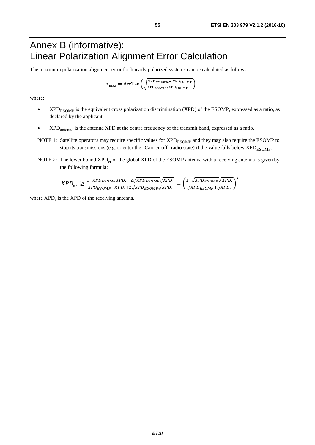# <span id="page-54-0"></span>Annex B (informative): Linear Polarization Alignment Error Calculation

The maximum polarization alignment error for linearly polarized systems can be calculated as follows:

$$
\alpha_{\text{max}} = \text{ArcTan}\left(\sqrt{\frac{XPD_{\text{antenna}} - XPD_{ESOMP}}{XPD_{\text{antenna}}XPD_{ESOMP}-1}}\right)
$$

where:

- XPD<sub>ESOMP</sub> is the equivalent cross polarization discrimination (XPD) of the ESOMP, expressed as a ratio, as declared by the applicant;
- XPD<sub>antenna</sub> is the antenna XPD at the centre frequency of the transmit band, expressed as a ratio.
- NOTE 1: Satellite operators may require specific values for  $XPD_{ESOMP}$  and they may also require the ESOMP to stop its transmissions (e.g. to enter the "Carrier-off" radio state) if the value falls below XPD<sub>ESOMP</sub>.
- NOTE 2: The lower bound XPD<sub>er</sub> of the global XPD of the ESOMP antenna with a receiving antenna is given by the following formula:

$$
XPD_{er} \geq \frac{1+XPD_{ESOMP}XPD_{r}-2\sqrt{XPD_{ESOMP}}\sqrt{XPD_{r}}}{XPD_{ESOMP}+XPD_{r}+2\sqrt{XPD_{ESOMP}}\sqrt{XPD_{r}}}= \left(\frac{1+\sqrt{XPD_{ESOMP}}\sqrt{XPD_{r}}}{\sqrt{XPD_{ESOMP}}+\sqrt{XPD_{r}}}\right)^{2}
$$

where  $XPD_r$  is the  $XPD$  of the receiving antenna.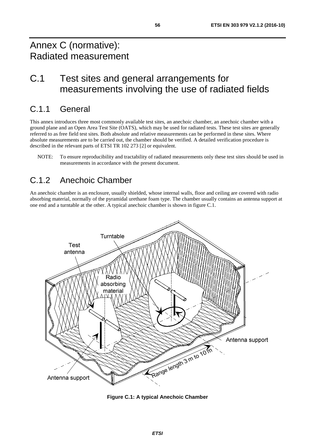# <span id="page-55-0"></span>Annex C (normative): Radiated measurement

# C.1 Test sites and general arrangements for measurements involving the use of radiated fields

# C.1.1 General

This annex introduces three most commonly available test sites, an anechoic chamber, an anechoic chamber with a ground plane and an Open Area Test Site (OATS), which may be used for radiated tests. These test sites are generally referred to as free field test sites. Both absolute and relative measurements can be performed in these sites. Where absolute measurements are to be carried out, the chamber should be verified. A detailed verification procedure is described in the relevant parts of ETSI TR 102 273 [\[2](#page-9-0)] or equivalent.

NOTE: To ensure reproducibility and tractability of radiated measurements only these test sites should be used in measurements in accordance with the present document.

# C.1.2 Anechoic Chamber

An anechoic chamber is an enclosure, usually shielded, whose internal walls, floor and ceiling are covered with radio absorbing material, normally of the pyramidal urethane foam type. The chamber usually contains an antenna support at one end and a turntable at the other. A typical anechoic chamber is shown in figure C.1.



**Figure C.1: A typical Anechoic Chamber**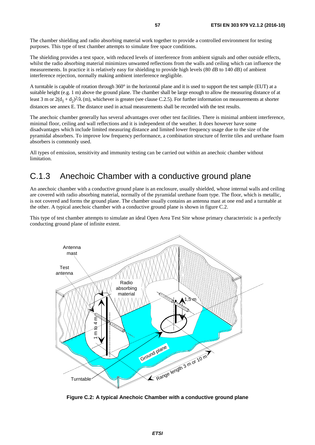<span id="page-56-0"></span>The chamber shielding and radio absorbing material work together to provide a controlled environment for testing purposes. This type of test chamber attempts to simulate free space conditions.

The shielding provides a test space, with reduced levels of interference from ambient signals and other outside effects, whilst the radio absorbing material minimizes unwanted reflections from the walls and ceiling which can influence the measurements. In practice it is relatively easy for shielding to provide high levels (80 dB to 140 dB) of ambient interference rejection, normally making ambient interference negligible.

A turntable is capable of rotation through 360° in the horizontal plane and it is used to support the test sample (EUT) at a suitable height (e.g. 1 m) above the ground plane. The chamber shall be large enough to allow the measuring distance of at least 3 m or  $2(d_1 + d_2)^2/\lambda$  (m), whichever is greater (see clause C.2.5). For further information on measurements at shorter distances see annex E. The distance used in actual measurements shall be recorded with the test results.

The anechoic chamber generally has several advantages over other test facilities. There is minimal ambient interference, minimal floor, ceiling and wall reflections and it is independent of the weather. It does however have some disadvantages which include limited measuring distance and limited lower frequency usage due to the size of the pyramidal absorbers. To improve low frequency performance, a combination structure of ferrite tiles and urethane foam absorbers is commonly used.

All types of emission, sensitivity and immunity testing can be carried out within an anechoic chamber without limitation.

# C.1.3 Anechoic Chamber with a conductive ground plane

An anechoic chamber with a conductive ground plane is an enclosure, usually shielded, whose internal walls and ceiling are covered with radio absorbing material, normally of the pyramidal urethane foam type. The floor, which is metallic, is not covered and forms the ground plane. The chamber usually contains an antenna mast at one end and a turntable at the other. A typical anechoic chamber with a conductive ground plane is shown in figure C.2.

This type of test chamber attempts to simulate an ideal Open Area Test Site whose primary characteristic is a perfectly conducting ground plane of infinite extent.



**Figure C.2: A typical Anechoic Chamber with a conductive ground plane**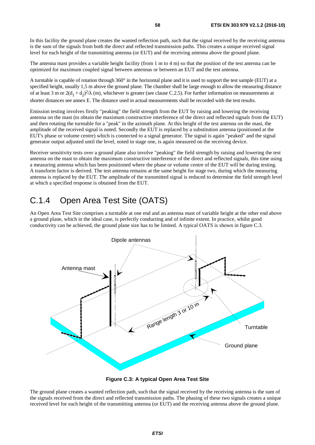<span id="page-57-0"></span>In this facility the ground plane creates the wanted reflection path, such that the signal received by the receiving antenna is the sum of the signals from both the direct and reflected transmission paths. This creates a unique received signal level for each height of the transmitting antenna (or EUT) and the receiving antenna above the ground plane.

The antenna mast provides a variable height facility (from 1 m to 4 m) so that the position of the test antenna can be optimized for maximum coupled signal between antennas or between an EUT and the test antenna.

A turntable is capable of rotation through 360° in the horizontal plane and it is used to support the test sample (EUT) at a specified height, usually 1,5 m above the ground plane. The chamber shall be large enough to allow the measuring distance of at least 3 m or  $2(d_1 + d_2)^2/\lambda$  (m), whichever is greater (see clause C.2.5). For further information on measurements at shorter distances see annex E. The distance used in actual measurements shall be recorded with the test results.

Emission testing involves firstly "peaking" the field strength from the EUT by raising and lowering the receiving antenna on the mast (to obtain the maximum constructive interference of the direct and reflected signals from the EUT) and then rotating the turntable for a "peak" in the azimuth plane. At this height of the test antenna on the mast, the amplitude of the received signal is noted. Secondly the EUT is replaced by a substitution antenna (positioned at the EUT's phase or volume centre) which is connected to a signal generator. The signal is again "peaked" and the signal generator output adjusted until the level, noted in stage one, is again measured on the receiving device.

Receiver sensitivity tests over a ground plane also involve "peaking" the field strength by raising and lowering the test antenna on the mast to obtain the maximum constructive interference of the direct and reflected signals, this time using a measuring antenna which has been positioned where the phase or volume centre of the EUT will be during testing. A transform factor is derived. The test antenna remains at the same height for stage two, during which the measuring antenna is replaced by the EUT. The amplitude of the transmitted signal is reduced to determine the field strength level at which a specified response is obtained from the EUT.

# C.1.4 Open Area Test Site (OATS)

An Open Area Test Site comprises a turntable at one end and an antenna mast of variable height at the other end above a ground plane, which in the ideal case, is perfectly conducting and of infinite extent. In practice, whilst good conductivity can be achieved, the ground plane size has to be limited. A typical OATS is shown in figure C.3.



**Figure C.3: A typical Open Area Test Site** 

The ground plane creates a wanted reflection path, such that the signal received by the receiving antenna is the sum of the signals received from the direct and reflected transmission paths. The phasing of these two signals creates a unique received level for each height of the transmitting antenna (or EUT) and the receiving antenna above the ground plane.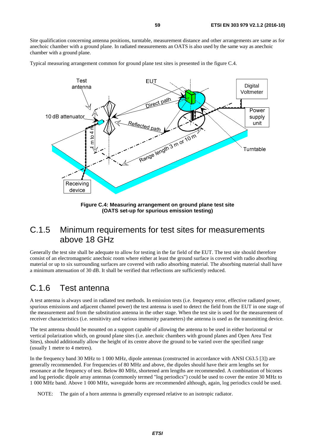<span id="page-58-0"></span>Site qualification concerning antenna positions, turntable, measurement distance and other arrangements are same as for anechoic chamber with a ground plane. In radiated measurements an OATS is also used by the same way as anechoic chamber with a ground plane.

Typical measuring arrangement common for ground plane test sites is presented in the figure C.4.



**Figure C.4: Measuring arrangement on ground plane test site (OATS set-up for spurious emission testing)** 

# C.1.5 Minimum requirements for test sites for measurements above 18 GHz

Generally the test site shall be adequate to allow for testing in the far field of the EUT. The test site should therefore consist of an electromagnetic anechoic room where either at least the ground surface is covered with radio absorbing material or up to six surrounding surfaces are covered with radio absorbing material. The absorbing material shall have a minimum attenuation of 30 dB. It shall be verified that reflections are sufficiently reduced.

# C.1.6 Test antenna

A test antenna is always used in radiated test methods. In emission tests (i.e. frequency error, effective radiated power, spurious emissions and adjacent channel power) the test antenna is used to detect the field from the EUT in one stage of the measurement and from the substitution antenna in the other stage. When the test site is used for the measurement of receiver characteristics (i.e. sensitivity and various immunity parameters) the antenna is used as the transmitting device.

The test antenna should be mounted on a support capable of allowing the antenna to be used in either horizontal or vertical polarization which, on ground plane sites (i.e. anechoic chambers with ground planes and Open Area Test Sites), should additionally allow the height of its centre above the ground to be varied over the specified range (usually 1 metre to 4 metres).

In the frequency band 30 MHz to 1 000 MHz, dipole antennas (constructed in accordance with ANSI C63.5 [[3\]](#page-9-0)) are generally recommended. For frequencies of 80 MHz and above, the dipoles should have their arm lengths set for resonance at the frequency of test. Below 80 MHz, shortened arm lengths are recommended. A combination of bicones and log periodic dipole array antennas (commonly termed "log periodics") could be used to cover the entire 30 MHz to 1 000 MHz band. Above 1 000 MHz, waveguide horns are recommended although, again, log periodics could be used.

NOTE: The gain of a horn antenna is generally expressed relative to an isotropic radiator.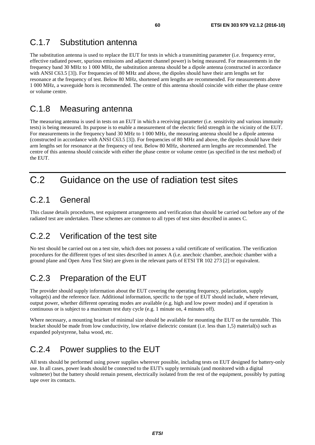# <span id="page-59-0"></span>C.1.7 Substitution antenna

The substitution antenna is used to replace the EUT for tests in which a transmitting parameter (i.e. frequency error, effective radiated power, spurious emissions and adjacent channel power) is being measured. For measurements in the frequency band 30 MHz to 1 000 MHz, the substitution antenna should be a dipole antenna (constructed in accordance with ANSI C63.5 [[3\]](#page-9-0)). For frequencies of 80 MHz and above, the dipoles should have their arm lengths set for resonance at the frequency of test. Below 80 MHz, shortened arm lengths are recommended. For measurements above 1 000 MHz, a waveguide horn is recommended. The centre of this antenna should coincide with either the phase centre or volume centre.

# C.1.8 Measuring antenna

The measuring antenna is used in tests on an EUT in which a receiving parameter (i.e. sensitivity and various immunity tests) is being measured. Its purpose is to enable a measurement of the electric field strength in the vicinity of the EUT. For measurements in the frequency band 30 MHz to 1 000 MHz, the measuring antenna should be a dipole antenna (constructed in accordance with ANSI C63.5 [\[3](#page-9-0)]). For frequencies of 80 MHz and above, the dipoles should have their arm lengths set for resonance at the frequency of test. Below 80 MHz, shortened arm lengths are recommended. The centre of this antenna should coincide with either the phase centre or volume centre (as specified in the test method) of the EUT.

# C.2 Guidance on the use of radiation test sites

# C.2.1 General

This clause details procedures, test equipment arrangements and verification that should be carried out before any of the radiated test are undertaken. These schemes are common to all types of test sites described in annex C.

# C.2.2 Verification of the test site

No test should be carried out on a test site, which does not possess a valid certificate of verification. The verification procedures for the different types of test sites described in annex A (i.e. anechoic chamber, anechoic chamber with a ground plane and Open Area Test Site) are given in the relevant parts of ETSI TR 102 273 [[2\]](#page-9-0) or equivalent.

# C.2.3 Preparation of the EUT

The provider should supply information about the EUT covering the operating frequency, polarization, supply voltage(s) and the reference face. Additional information, specific to the type of EUT should include, where relevant, output power, whether different operating modes are available (e.g. high and low power modes) and if operation is continuous or is subject to a maximum test duty cycle (e.g. 1 minute on, 4 minutes off).

Where necessary, a mounting bracket of minimal size should be available for mounting the EUT on the turntable. This bracket should be made from low conductivity, low relative dielectric constant (i.e. less than 1,5) material(s) such as expanded polystyrene, balsa wood, etc.

# C.2.4 Power supplies to the EUT

All tests should be performed using power supplies wherever possible, including tests on EUT designed for battery-only use. In all cases, power leads should be connected to the EUT's supply terminals (and monitored with a digital voltmeter) but the battery should remain present, electrically isolated from the rest of the equipment, possibly by putting tape over its contacts.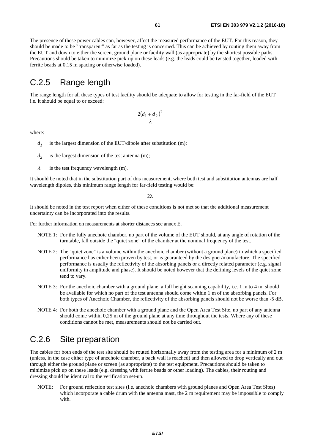<span id="page-60-0"></span>The presence of these power cables can, however, affect the measured performance of the EUT. For this reason, they should be made to be "transparent" as far as the testing is concerned. This can be achieved by routing them away from the EUT and down to either the screen, ground plane or facility wall (as appropriate) by the shortest possible paths. Precautions should be taken to minimize pick-up on these leads (e.g. the leads could be twisted together, loaded with ferrite beads at 0,15 m spacing or otherwise loaded).

# C.2.5 Range length

The range length for all these types of test facility should be adequate to allow for testing in the far-field of the EUT i.e. it should be equal to or exceed:

$$
\frac{2(d_1+d_2)^2}{\lambda}
$$

where:

- $d_1$  is the largest dimension of the EUT/dipole after substitution (m);
- $d_2$  is the largest dimension of the test antenna (m);
- $\lambda$  is the test frequency wavelength (m).

It should be noted that in the substitution part of this measurement, where both test and substitution antennas are half wavelength dipoles, this minimum range length for far-field testing would be:

 $2λ$ 

It should be noted in the test report when either of these conditions is not met so that the additional measurement uncertainty can be incorporated into the results.

For further information on measurements at shorter distances see annex E.

- NOTE 1: For the fully anechoic chamber, no part of the volume of the EUT should, at any angle of rotation of the turntable, fall outside the "quiet zone" of the chamber at the nominal frequency of the test.
- NOTE 2: The "quiet zone" is a volume within the anechoic chamber (without a ground plane) in which a specified performance has either been proven by test, or is guaranteed by the designer/manufacture. The specified performance is usually the reflectivity of the absorbing panels or a directly related parameter (e.g. signal uniformity in amplitude and phase). It should be noted however that the defining levels of the quiet zone tend to vary.
- NOTE 3: For the anechoic chamber with a ground plane, a full height scanning capability, i.e. 1 m to 4 m, should be available for which no part of the test antenna should come within 1 m of the absorbing panels. For both types of Anechoic Chamber, the reflectivity of the absorbing panels should not be worse than -5 dB.
- NOTE 4: For both the anechoic chamber with a ground plane and the Open Area Test Site, no part of any antenna should come within 0,25 m of the ground plane at any time throughout the tests. Where any of these conditions cannot be met, measurements should not be carried out.

## C.2.6 Site preparation

The cables for both ends of the test site should be routed horizontally away from the testing area for a minimum of 2 m (unless, in the case either type of anechoic chamber, a back wall is reached) and then allowed to drop vertically and out through either the ground plane or screen (as appropriate) to the test equipment. Precautions should be taken to minimize pick up on these leads (e.g. dressing with ferrite beads or other loading). The cables, their routing and dressing should be identical to the verification set-up.

NOTE: For ground reflection test sites (i.e. anechoic chambers with ground planes and Open Area Test Sites) which incorporate a cable drum with the antenna mast, the 2 m requirement may be impossible to comply with.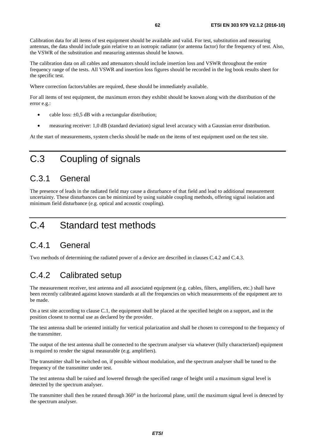<span id="page-61-0"></span>Calibration data for all items of test equipment should be available and valid. For test, substitution and measuring antennas, the data should include gain relative to an isotropic radiator (or antenna factor) for the frequency of test. Also, the VSWR of the substitution and measuring antennas should be known.

The calibration data on all cables and attenuators should include insertion loss and VSWR throughout the entire frequency range of the tests. All VSWR and insertion loss figures should be recorded in the log book results sheet for the specific test.

Where correction factors/tables are required, these should be immediately available.

For all items of test equipment, the maximum errors they exhibit should be known along with the distribution of the error e.g.:

- cable loss:  $\pm 0.5$  dB with a rectangular distribution;
- measuring receiver: 1,0 dB (standard deviation) signal level accuracy with a Gaussian error distribution.

At the start of measurements, system checks should be made on the items of test equipment used on the test site.

# C.3 Coupling of signals

# C.3.1 General

The presence of leads in the radiated field may cause a disturbance of that field and lead to additional measurement uncertainty. These disturbances can be minimized by using suitable coupling methods, offering signal isolation and minimum field disturbance (e.g. optical and acoustic coupling).

# C.4 Standard test methods

# C.4.1 General

Two methods of determining the radiated power of a device are described in clauses C.4.2 and C.4.3.

# C.4.2 Calibrated setup

The measurement receiver, test antenna and all associated equipment (e.g. cables, filters, amplifiers, etc.) shall have been recently calibrated against known standards at all the frequencies on which measurements of the equipment are to be made.

On a test site according to clause C.1, the equipment shall be placed at the specified height on a support, and in the position closest to normal use as declared by the provider.

The test antenna shall be oriented initially for vertical polarization and shall be chosen to correspond to the frequency of the transmitter.

The output of the test antenna shall be connected to the spectrum analyser via whatever (fully characterized) equipment is required to render the signal measurable (e.g. amplifiers).

The transmitter shall be switched on, if possible without modulation, and the spectrum analyser shall be tuned to the frequency of the transmitter under test.

The test antenna shall be raised and lowered through the specified range of height until a maximum signal level is detected by the spectrum analyser.

The transmitter shall then be rotated through  $360^\circ$  in the horizontal plane, until the maximum signal level is detected by the spectrum analyser.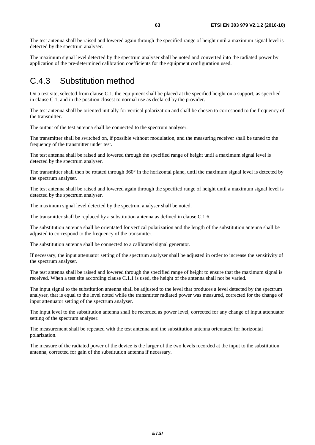<span id="page-62-0"></span>The maximum signal level detected by the spectrum analyser shall be noted and converted into the radiated power by application of the pre-determined calibration coefficients for the equipment configuration used.

# C.4.3 Substitution method

On a test site, selected from clause C.1, the equipment shall be placed at the specified height on a support, as specified in clause C.1, and in the position closest to normal use as declared by the provider.

The test antenna shall be oriented initially for vertical polarization and shall be chosen to correspond to the frequency of the transmitter.

The output of the test antenna shall be connected to the spectrum analyser.

The transmitter shall be switched on, if possible without modulation, and the measuring receiver shall be tuned to the frequency of the transmitter under test.

The test antenna shall be raised and lowered through the specified range of height until a maximum signal level is detected by the spectrum analyser.

The transmitter shall then be rotated through  $360^\circ$  in the horizontal plane, until the maximum signal level is detected by the spectrum analyser.

The test antenna shall be raised and lowered again through the specified range of height until a maximum signal level is detected by the spectrum analyser.

The maximum signal level detected by the spectrum analyser shall be noted.

The transmitter shall be replaced by a substitution antenna as defined in clause C.1.6.

The substitution antenna shall be orientated for vertical polarization and the length of the substitution antenna shall be adjusted to correspond to the frequency of the transmitter.

The substitution antenna shall be connected to a calibrated signal generator.

If necessary, the input attenuator setting of the spectrum analyser shall be adjusted in order to increase the sensitivity of the spectrum analyser.

The test antenna shall be raised and lowered through the specified range of height to ensure that the maximum signal is received. When a test site according clause C.1.1 is used, the height of the antenna shall not be varied.

The input signal to the substitution antenna shall be adjusted to the level that produces a level detected by the spectrum analyser, that is equal to the level noted while the transmitter radiated power was measured, corrected for the change of input attenuator setting of the spectrum analyser.

The input level to the substitution antenna shall be recorded as power level, corrected for any change of input attenuator setting of the spectrum analyser.

The measurement shall be repeated with the test antenna and the substitution antenna orientated for horizontal polarization.

The measure of the radiated power of the device is the larger of the two levels recorded at the input to the substitution antenna, corrected for gain of the substitution antenna if necessary.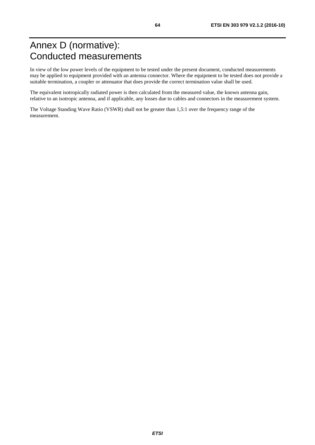# <span id="page-63-0"></span>Annex D (normative): Conducted measurements

In view of the low power levels of the equipment to be tested under the present document, conducted measurements may be applied to equipment provided with an antenna connector. Where the equipment to be tested does not provide a suitable termination, a coupler or attenuator that does provide the correct termination value shall be used.

The equivalent isotropically radiated power is then calculated from the measured value, the known antenna gain, relative to an isotropic antenna, and if applicable, any losses due to cables and connectors in the measurement system.

The Voltage Standing Wave Ratio (VSWR) shall not be greater than 1,5:1 over the frequency range of the measurement.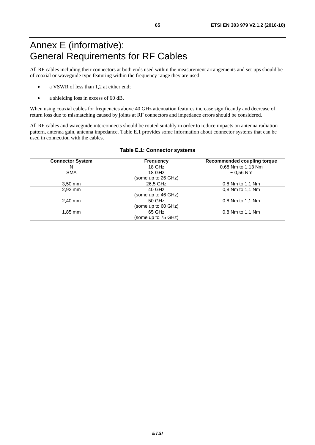# <span id="page-64-0"></span>Annex E (informative): General Requirements for RF Cables

All RF cables including their connectors at both ends used within the measurement arrangements and set-ups should be of coaxial or waveguide type featuring within the frequency range they are used:

- a VSWR of less than 1,2 at either end;
- a shielding loss in excess of 60 dB.

When using coaxial cables for frequencies above 40 GHz attenuation features increase significantly and decrease of return loss due to mismatching caused by joints at RF connectors and impedance errors should be considered.

All RF cables and waveguide interconnects should be routed suitably in order to reduce impacts on antenna radiation pattern, antenna gain, antenna impedance. Table E.1 provides some information about connector systems that can be used in connection with the cables.

| <b>Connector System</b> | <b>Frequency</b>    | <b>Recommended coupling torque</b> |
|-------------------------|---------------------|------------------------------------|
| N                       | 18 GHz              | 0,68 Nm to 1,13 Nm                 |
| <b>SMA</b>              | 18 GHz              | $~1$ 0.56 Nm                       |
|                         | (some up to 26 GHz) |                                    |
| $3,50$ mm               | 26,5 GHz            | 0.8 Nm to 1.1 Nm                   |
| 2,92 mm                 | 40 GHz              | 0.8 Nm to 1.1 Nm                   |
|                         | (some up to 46 GHz) |                                    |
| $2.40$ mm               | $50$ GHz            | 0.8 Nm to 1.1 Nm                   |
|                         | (some up to 60 GHz) |                                    |
| 1,85 mm                 | 65 GHz              | 0.8 Nm to 1.1 Nm                   |
|                         | (some up to 75 GHz) |                                    |

#### **Table E.1: Connector systems**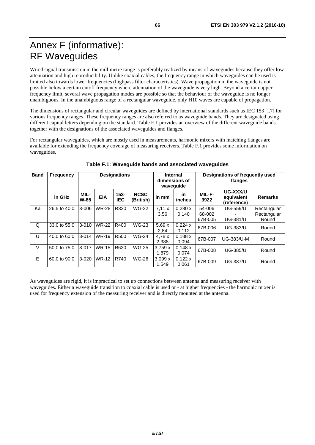# <span id="page-65-0"></span>Annex F (informative): RF Waveguides

Wired signal transmission in the millimetre range is preferably realized by means of waveguides because they offer low attenuation and high reproducibility. Unlike coaxial cables, the frequency range in which waveguides can be used is limited also towards lower frequencies (highpass filter characteristics). Wave propagation in the waveguide is not possible below a certain cutoff frequency where attenuation of the waveguide is very high. Beyond a certain upper frequency limit, several wave propagation modes are possible so that the behaviour of the waveguide is no longer unambiguous. In the unambiguous range of a rectangular waveguide, only H10 waves are capable of propagation.

The dimensions of rectangular and circular waveguides are defined by international standards such as IEC 153 [[i.7](#page-10-0)] for various frequency ranges. These frequency ranges are also referred to as waveguide bands. They are designated using different capital letters depending on the standard. Table F.1 provides an overview of the different waveguide bands together with the designations of the associated waveguides and flanges.

For rectangular waveguides, which are mostly used in measurements, harmonic mixers with matching flanges are available for extending the frequency coverage of measuring receivers. Table F.1 provides some information on waveguides.

| <b>Band</b> | Frequency    | <b>Designations</b> |              | Internal<br>dimensions of<br>wavequide |                          | Designations of frequently used<br>flanges |                  |                             |                                       |                                     |
|-------------|--------------|---------------------|--------------|----------------------------------------|--------------------------|--------------------------------------------|------------------|-----------------------------|---------------------------------------|-------------------------------------|
|             | in GHz       | MIL-<br>$W-85$      | <b>EIA</b>   | $153 -$<br><b>IEC</b>                  | <b>RCSC</b><br>(British) | in mm                                      | in<br>inches     | MIL-F-<br>3922              | UG-XXX/U<br>equivalent<br>(reference) | <b>Remarks</b>                      |
| Ka          | 26.5 to 40.0 | $3 - 006$           | <b>WR-28</b> | R320                                   | <b>WG-22</b>             | 7,11x<br>3,56                              | 0.280 x<br>0.140 | 54-006<br>68-002<br>67B-005 | <b>UG-559/U</b><br><b>UG-381/U</b>    | Rectangular<br>Rectangular<br>Round |
| Q           | 33,0 to 55,0 | $3 - 010$           | <b>WR-22</b> | R400                                   | <b>WG-23</b>             | 5,69x<br>2,84                              | 0,224x<br>0,112  | 67B-006                     | <b>UG-383/U</b>                       | Round                               |
| U           | 40.0 to 60.0 | $3 - 014$           | <b>WR-19</b> | R <sub>500</sub>                       | <b>WG-24</b>             | 4.78x<br>2,388                             | 0,188x<br>0.094  | 67B-007                     | UG-383/U-M                            | Round                               |
| $\vee$      | 50,0 to 75,0 | $3 - 017$           | <b>WR-15</b> | R620                                   | <b>WG-25</b>             | 3,759x<br>1.879                            | 0,148x<br>0,074  | 67B-008                     | <b>UG-385/U</b>                       | Round                               |
| E           | 60.0 to 90.0 | $3 - 020$           | <b>WR-12</b> | R740                                   | <b>WG-26</b>             | 3,099x<br>1.549                            | 0,122x<br>0.061  | 67B-009                     | <b>UG-387/U</b>                       | Round                               |

### **Table F.1: Waveguide bands and associated waveguides**

As waveguides are rigid, it is impractical to set up connections between antenna and measuring receiver with waveguides. Either a waveguide transition to coaxial cable is used or - at higher frequencies - the harmonic mixer is used for frequency extension of the measuring receiver and is directly mounted at the antenna.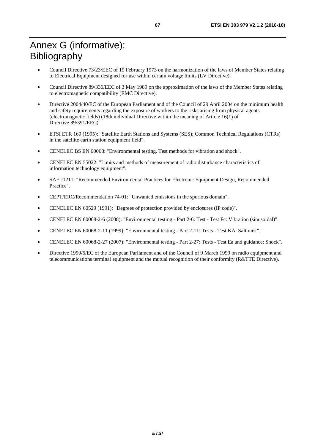# <span id="page-66-0"></span>Annex G (informative): Bibliography

- Council Directive 73/23/EEC of 19 February 1973 on the harmonization of the laws of Member States relating to Electrical Equipment designed for use within certain voltage limits (LV Directive).
- Council Directive 89/336/EEC of 3 May 1989 on the approximation of the laws of the Member States relating to electromagnetic compatibility (EMC Directive).
- Directive 2004/40/EC of the European Parliament and of the Council of 29 April 2004 on the minimum health and safety requirements regarding the exposure of workers to the risks arising from physical agents (electromagnetic fields) (18th individual Directive within the meaning of Article 16(1) of Directive 89/391/EEC).
- ETSI ETR 169 (1995): "Satellite Earth Stations and Systems (SES); Common Technical Regulations (CTRs) in the satellite earth station equipment field".
- CENELEC BS EN 60068: "Environmental testing. Test methods for vibration and shock".
- CENELEC EN 55022: "Limits and methods of measurement of radio disturbance characteristics of information technology equipment".
- SAE J1211: "Recommended Environmental Practices for Electronic Equipment Design, Recommended Practice".
- CEPT/ERC/Recommendation 74-01: "Unwanted emissions in the spurious domain".
- CENELEC EN 60529 (1991): "Degrees of protection provided by enclosures (IP code)".
- CENELEC EN 60068-2-6 (2008): "Environmental testing Part 2-6: Test Test Fc: Vibration (sinusoidal)".
- CENELEC EN 60068-2-11 (1999): "Environmental testing Part 2-11: Tests Test KA: Salt mist".
- CENELEC EN 60068-2-27 (2007): "Environmental testing Part 2-27: Tests Test Ea and guidance: Shock".
- Directive 1999/5/EC of the European Parliament and of the Council of 9 March 1999 on radio equipment and telecommunications terminal equipment and the mutual recognition of their conformity (R&TTE Directive).